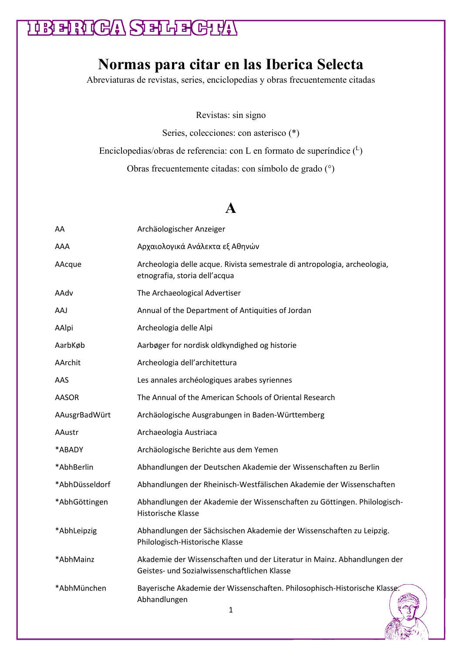### **HRENGA SELEGHT**

#### **Normas para citar en las Iberica Selecta**

Abreviaturas de revistas, series, enciclopedias y obras frecuentemente citadas

Revistas: sin signo

Series, colecciones: con asterisco (\*)

Enciclopedias/obras de referencia: con L en formato de superíndice  $(1)$ 

Obras frecuentemente citadas: con símbolo de grado (°)

#### **A**

| AA             | Archäologischer Anzeiger                                                                                                 |
|----------------|--------------------------------------------------------------------------------------------------------------------------|
| AAA            | Αρχαιολογικά Ανάλεκτα εξ Αθηνών                                                                                          |
| AAcque         | Archeologia delle acque. Rivista semestrale di antropologia, archeologia,<br>etnografia, storia dell'acqua               |
| AAdv           | The Archaeological Advertiser                                                                                            |
| AAJ            | Annual of the Department of Antiquities of Jordan                                                                        |
| AAlpi          | Archeologia delle Alpi                                                                                                   |
| AarbKøb        | Aarbøger for nordisk oldkyndighed og historie                                                                            |
| AArchit        | Archeologia dell'architettura                                                                                            |
| AAS            | Les annales archéologiques arabes syriennes                                                                              |
| AASOR          | The Annual of the American Schools of Oriental Research                                                                  |
| AAusgrBadWürt  | Archäologische Ausgrabungen in Baden-Württemberg                                                                         |
| AAustr         | Archaeologia Austriaca                                                                                                   |
| *ABADY         | Archäologische Berichte aus dem Yemen                                                                                    |
| *AbhBerlin     | Abhandlungen der Deutschen Akademie der Wissenschaften zu Berlin                                                         |
| *AbhDüsseldorf | Abhandlungen der Rheinisch-Westfälischen Akademie der Wissenschaften                                                     |
| *AbhGöttingen  | Abhandlungen der Akademie der Wissenschaften zu Göttingen. Philologisch-<br>Historische Klasse                           |
| *AbhLeipzig    | Abhandlungen der Sächsischen Akademie der Wissenschaften zu Leipzig.<br>Philologisch-Historische Klasse                  |
| *AbhMainz      | Akademie der Wissenschaften und der Literatur in Mainz. Abhandlungen der<br>Geistes- und Sozialwissenschaftlichen Klasse |
| *AbhMünchen    | Bayerische Akademie der Wissenschaften. Philosophisch-Historische Klasse.<br>Abhandlungen<br>$\overline{a}$              |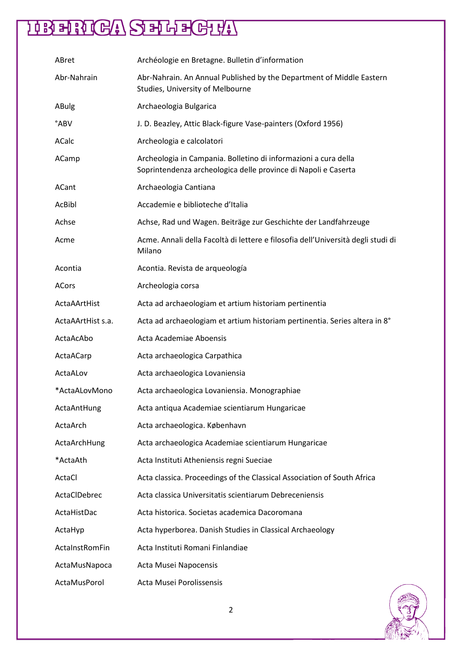| ABret             | Archéologie en Bretagne. Bulletin d'information                                                                                   |
|-------------------|-----------------------------------------------------------------------------------------------------------------------------------|
| Abr-Nahrain       | Abr-Nahrain. An Annual Published by the Department of Middle Eastern<br>Studies, University of Melbourne                          |
| ABulg             | Archaeologia Bulgarica                                                                                                            |
| °ABV              | J. D. Beazley, Attic Black-figure Vase-painters (Oxford 1956)                                                                     |
| ACalc             | Archeologia e calcolatori                                                                                                         |
| ACamp             | Archeologia in Campania. Bolletino di informazioni a cura della<br>Soprintendenza archeologica delle province di Napoli e Caserta |
| ACant             | Archaeologia Cantiana                                                                                                             |
| AcBibl            | Accademie e biblioteche d'Italia                                                                                                  |
| Achse             | Achse, Rad und Wagen. Beiträge zur Geschichte der Landfahrzeuge                                                                   |
| Acme              | Acme. Annali della Facoltà di lettere e filosofia dell'Università degli studi di<br>Milano                                        |
| Acontia           | Acontia. Revista de arqueología                                                                                                   |
| ACors             | Archeologia corsa                                                                                                                 |
| ActaAArtHist      | Acta ad archaeologiam et artium historiam pertinentia                                                                             |
| ActaAArtHist s.a. | Acta ad archaeologiam et artium historiam pertinentia. Series altera in 8°                                                        |
| ActaAcAbo         | Acta Academiae Aboensis                                                                                                           |
| ActaACarp         | Acta archaeologica Carpathica                                                                                                     |
| ActaALov          | Acta archaeologica Lovaniensia                                                                                                    |
| *ActaALovMono     | Acta archaeologica Lovaniensia. Monographiae                                                                                      |
| ActaAntHung       | Acta antiqua Academiae scientiarum Hungaricae                                                                                     |
| ActaArch          | Acta archaeologica. København                                                                                                     |
| ActaArchHung      | Acta archaeologica Academiae scientiarum Hungaricae                                                                               |
| *ActaAth          | Acta Instituti Atheniensis regni Sueciae                                                                                          |
| ActaCl            | Acta classica. Proceedings of the Classical Association of South Africa                                                           |
| ActaClDebrec      | Acta classica Universitatis scientiarum Debreceniensis                                                                            |
| ActaHistDac       | Acta historica. Societas academica Dacoromana                                                                                     |
| ActaHyp           | Acta hyperborea. Danish Studies in Classical Archaeology                                                                          |
| ActaInstRomFin    | Acta Instituti Romani Finlandiae                                                                                                  |
| ActaMusNapoca     | Acta Musei Napocensis                                                                                                             |
| ActaMusPorol      | Acta Musei Porolissensis                                                                                                          |

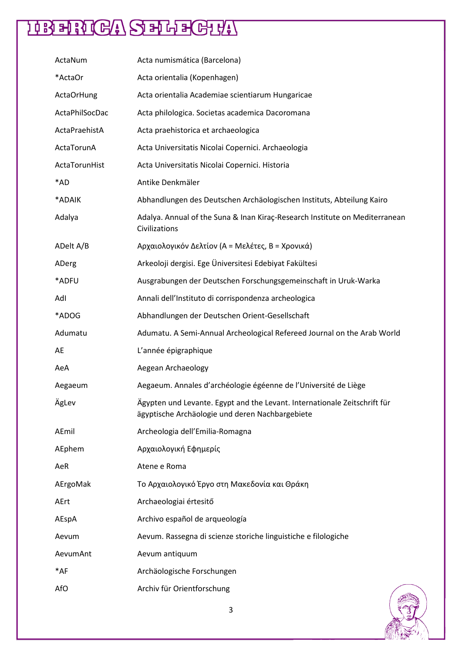| ActaNum           | Acta numismática (Barcelona)                                                                                                 |
|-------------------|------------------------------------------------------------------------------------------------------------------------------|
| *ActaOr           | Acta orientalia (Kopenhagen)                                                                                                 |
| <b>ActaOrHung</b> | Acta orientalia Academiae scientiarum Hungaricae                                                                             |
| ActaPhilSocDac    | Acta philologica. Societas academica Dacoromana                                                                              |
| ActaPraehistA     | Acta praehistorica et archaeologica                                                                                          |
| ActaTorunA        | Acta Universitatis Nicolai Copernici. Archaeologia                                                                           |
| ActaTorunHist     | Acta Universitatis Nicolai Copernici. Historia                                                                               |
| *AD               | Antike Denkmäler                                                                                                             |
| *ADAIK            | Abhandlungen des Deutschen Archäologischen Instituts, Abteilung Kairo                                                        |
| Adalya            | Adalya. Annual of the Suna & Inan Kiraç-Research Institute on Mediterranean<br>Civilizations                                 |
| ADelt A/B         | Αρχαιολογικόν Δελτίον (Α = Μελέτες, Β = Χρονικά)                                                                             |
| ADerg             | Arkeoloji dergisi. Ege Üniversitesi Edebiyat Fakültesi                                                                       |
| *ADFU             | Ausgrabungen der Deutschen Forschungsgemeinschaft in Uruk-Warka                                                              |
| Adl               | Annali dell'Instituto di corrispondenza archeologica                                                                         |
| *ADOG             | Abhandlungen der Deutschen Orient-Gesellschaft                                                                               |
| Adumatu           | Adumatu. A Semi-Annual Archeological Refereed Journal on the Arab World                                                      |
| AE                | L'année épigraphique                                                                                                         |
| AeA               | Aegean Archaeology                                                                                                           |
| Aegaeum           | Aegaeum. Annales d'archéologie égéenne de l'Université de Liège                                                              |
| ÄgLev             | Ägypten und Levante. Egypt and the Levant. Internationale Zeitschrift für<br>ägyptische Archäologie und deren Nachbargebiete |
| AEmil             | Archeologia dell'Emilia-Romagna                                                                                              |
| AEphem            | Αρχαιολογική Εφημερίς                                                                                                        |
| AeR               | Atene e Roma                                                                                                                 |
| AErgoMak          | Το Αρχαιολογικό Έργο στη Μακεδονία και Θράκη                                                                                 |
| AErt              | Archaeologiai értesitő                                                                                                       |
| AEspA             | Archivo español de arqueología                                                                                               |
| Aevum             | Aevum. Rassegna di scienze storiche linguistiche e filologiche                                                               |
| AevumAnt          | Aevum antiquum                                                                                                               |
| $*AF$             | Archäologische Forschungen                                                                                                   |
| AfO               | Archiv für Orientforschung                                                                                                   |

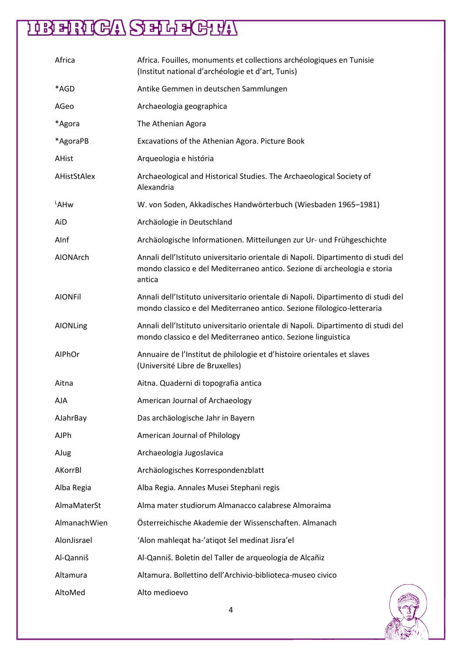| Africa         | Africa. Fouilles, monuments et collections archéologiques en Tunisie<br>(Institut national d'archéologie et d'art, Tunis)                                                |
|----------------|--------------------------------------------------------------------------------------------------------------------------------------------------------------------------|
| *AGD           | Antike Gemmen in deutschen Sammlungen                                                                                                                                    |
| AGeo           | Archaeologia geographica                                                                                                                                                 |
| *Agora         | The Athenian Agora                                                                                                                                                       |
| *AgoraPB       | Excavations of the Athenian Agora. Picture Book                                                                                                                          |
| <b>AHist</b>   | Arqueologia e história                                                                                                                                                   |
| AHistStAlex    | Archaeological and Historical Studies. The Archaeological Society of<br>Alexandria                                                                                       |
| LAHw           | W. von Soden, Akkadisches Handwörterbuch (Wiesbaden 1965-1981)                                                                                                           |
| AiD            | Archäologie in Deutschland                                                                                                                                               |
| AInf           | Archäologische Informationen. Mitteilungen zur Ur- und Frühgeschichte                                                                                                    |
| AIONArch       | Annali dell'Istituto universitario orientale di Napoli. Dipartimento di studi del<br>mondo classico e del Mediterraneo antico. Sezione di archeologia e storia<br>antica |
| <b>AIONFil</b> | Annali dell'Istituto universitario orientale di Napoli. Dipartimento di studi del<br>mondo classico e del Mediterraneo antico. Sezione filologico-letteraria             |
| AIONLing       | Annali dell'Istituto universitario orientale di Napoli. Dipartimento di studi del<br>mondo classico e del Mediterraneo antico. Sezione linguistica                       |
| AIPhOr         | Annuaire de l'Institut de philologie et d'histoire orientales et slaves<br>(Université Libre de Bruxelles)                                                               |
| Aitna          | Aitna. Quaderni di topografia antica                                                                                                                                     |
| AJA            | American Journal of Archaeology                                                                                                                                          |
| AJahrBay       | Das archäologische Jahr in Bayern                                                                                                                                        |
| AJPh           | American Journal of Philology                                                                                                                                            |
| AJug           | Archaeologia Jugoslavica                                                                                                                                                 |
| AKorrBl        | Archäologisches Korrespondenzblatt                                                                                                                                       |
| Alba Regia     | Alba Regia. Annales Musei Stephani regis                                                                                                                                 |
| AlmaMaterSt    | Alma mater studiorum Almanacco calabrese Almoraima                                                                                                                       |
| AlmanachWien   | Österreichische Akademie der Wissenschaften. Almanach                                                                                                                    |
| AlonJisrael    | 'Alon mahleqat ha-'atiqot šel medinat Jisra'el                                                                                                                           |
| Al-Qanniš      | Al-Qanniš. Boletín del Taller de arqueología de Alcañiz                                                                                                                  |
| Altamura       | Altamura. Bollettino dell'Archivio-biblioteca-museo civico                                                                                                               |
| AltoMed        | Alto medioevo                                                                                                                                                            |

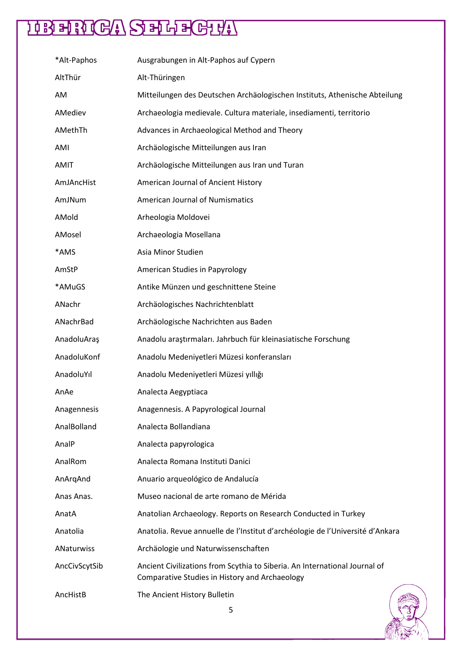| *Alt-Paphos       | Ausgrabungen in Alt-Paphos auf Cypern                                                                                        |
|-------------------|------------------------------------------------------------------------------------------------------------------------------|
| AltThür           | Alt-Thüringen                                                                                                                |
| AM                | Mitteilungen des Deutschen Archäologischen Instituts, Athenische Abteilung                                                   |
| AMediev           | Archaeologia medievale. Cultura materiale, insediamenti, territorio                                                          |
| AMethTh           | Advances in Archaeological Method and Theory                                                                                 |
| AMI               | Archäologische Mitteilungen aus Iran                                                                                         |
| <b>AMIT</b>       | Archäologische Mitteilungen aus Iran und Turan                                                                               |
| AmJAncHist        | American Journal of Ancient History                                                                                          |
| AmJNum            | <b>American Journal of Numismatics</b>                                                                                       |
| AMold             | Arheologia Moldovei                                                                                                          |
| AMosel            | Archaeologia Mosellana                                                                                                       |
| *AMS              | Asia Minor Studien                                                                                                           |
| AmStP             | <b>American Studies in Papyrology</b>                                                                                        |
| *AMuGS            | Antike Münzen und geschnittene Steine                                                                                        |
| ANachr            | Archäologisches Nachrichtenblatt                                                                                             |
| ANachrBad         | Archäologische Nachrichten aus Baden                                                                                         |
| AnadoluAraş       | Anadolu araştırmaları. Jahrbuch für kleinasiatische Forschung                                                                |
| AnadoluKonf       | Anadolu Medeniyetleri Müzesi konferansları                                                                                   |
| AnadoluYıl        | Anadolu Medeniyetleri Müzesi yıllığı                                                                                         |
| AnAe              | Analecta Aegyptiaca                                                                                                          |
| Anagennesis       | Anagennesis. A Papyrological Journal                                                                                         |
| AnalBolland       | Analecta Bollandiana                                                                                                         |
| AnalP             | Analecta papyrologica                                                                                                        |
| AnalRom           | Analecta Romana Instituti Danici                                                                                             |
| AnArqAnd          | Anuario arqueológico de Andalucía                                                                                            |
| Anas Anas.        | Museo nacional de arte romano de Mérida                                                                                      |
| AnatA             | Anatolian Archaeology. Reports on Research Conducted in Turkey                                                               |
| Anatolia          | Anatolia. Revue annuelle de l'Institut d'archéologie de l'Université d'Ankara                                                |
| <b>ANaturwiss</b> | Archäologie und Naturwissenschaften                                                                                          |
| AncCivScytSib     | Ancient Civilizations from Scythia to Siberia. An International Journal of<br>Comparative Studies in History and Archaeology |
| AncHistB          | The Ancient History Bulletin                                                                                                 |

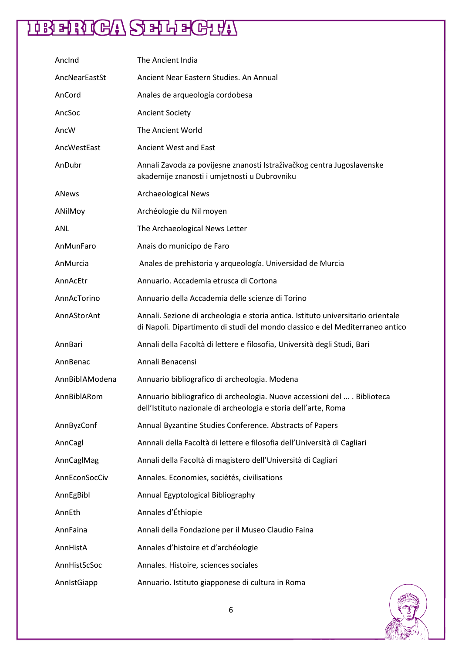| Ancind         | The Ancient India                                                                                                                                                 |
|----------------|-------------------------------------------------------------------------------------------------------------------------------------------------------------------|
| AncNearEastSt  | Ancient Near Eastern Studies. An Annual                                                                                                                           |
| AnCord         | Anales de arqueología cordobesa                                                                                                                                   |
| AncSoc         | <b>Ancient Society</b>                                                                                                                                            |
| AncW           | The Ancient World                                                                                                                                                 |
| AncWestEast    | <b>Ancient West and East</b>                                                                                                                                      |
| AnDubr         | Annali Zavoda za povijesne znanosti Istraživačkog centra Jugoslavenske<br>akademije znanosti i umjetnosti u Dubrovniku                                            |
| ANews          | <b>Archaeological News</b>                                                                                                                                        |
| ANilMoy        | Archéologie du Nil moyen                                                                                                                                          |
| <b>ANL</b>     | The Archaeological News Letter                                                                                                                                    |
| AnMunFaro      | Anais do municípo de Faro                                                                                                                                         |
| AnMurcia       | Anales de prehistoria y arqueología. Universidad de Murcia                                                                                                        |
| AnnAcEtr       | Annuario. Accademia etrusca di Cortona                                                                                                                            |
| AnnAcTorino    | Annuario della Accademia delle scienze di Torino                                                                                                                  |
| AnnAStorAnt    | Annali. Sezione di archeologia e storia antica. Istituto universitario orientale<br>di Napoli. Dipartimento di studi del mondo classico e del Mediterraneo antico |
| AnnBari        | Annali della Facoltà di lettere e filosofia, Università degli Studi, Bari                                                                                         |
| AnnBenac       | Annali Benacensi                                                                                                                                                  |
| AnnBiblAModena | Annuario bibliografico di archeologia. Modena                                                                                                                     |
| AnnBiblARom    | Annuario bibliografico di archeologia. Nuove accessioni del  . Biblioteca<br>dell'Istituto nazionale di archeologia e storia dell'arte, Roma                      |
| AnnByzConf     | Annual Byzantine Studies Conference. Abstracts of Papers                                                                                                          |
| AnnCagl        | Annnali della Facoltà di lettere e filosofia dell'Università di Cagliari                                                                                          |
| AnnCaglMag     | Annali della Facoltà di magistero dell'Università di Cagliari                                                                                                     |
| AnnEconSocCiv  | Annales. Economies, sociétés, civilisations                                                                                                                       |
| AnnEgBibl      | Annual Egyptological Bibliography                                                                                                                                 |
| AnnEth         | Annales d'Éthiopie                                                                                                                                                |
| AnnFaina       | Annali della Fondazione per il Museo Claudio Faina                                                                                                                |
| AnnHistA       | Annales d'histoire et d'archéologie                                                                                                                               |
| AnnHistScSoc   | Annales. Histoire, sciences sociales                                                                                                                              |
| AnnistGiapp    | Annuario. Istituto giapponese di cultura in Roma                                                                                                                  |

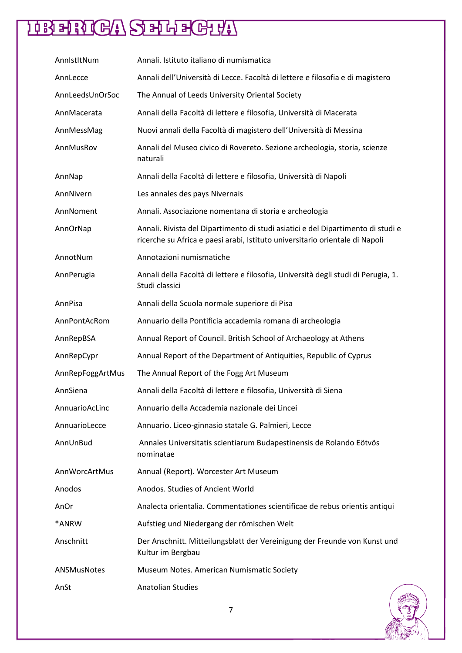| AnnistitNum      | Annali. Istituto italiano di numismatica                                                                                                                         |
|------------------|------------------------------------------------------------------------------------------------------------------------------------------------------------------|
| AnnLecce         | Annali dell'Università di Lecce. Facoltà di lettere e filosofia e di magistero                                                                                   |
| AnnLeedsUnOrSoc  | The Annual of Leeds University Oriental Society                                                                                                                  |
| AnnMacerata      | Annali della Facoltà di lettere e filosofia, Università di Macerata                                                                                              |
| AnnMessMag       | Nuovi annali della Facoltà di magistero dell'Università di Messina                                                                                               |
| AnnMusRov        | Annali del Museo civico di Rovereto. Sezione archeologia, storia, scienze<br>naturali                                                                            |
| AnnNap           | Annali della Facoltà di lettere e filosofia, Università di Napoli                                                                                                |
| AnnNivern        | Les annales des pays Nivernais                                                                                                                                   |
| AnnNoment        | Annali. Associazione nomentana di storia e archeologia                                                                                                           |
| AnnOrNap         | Annali. Rivista del Dipartimento di studi asiatici e del Dipartimento di studi e<br>ricerche su Africa e paesi arabi, Istituto universitario orientale di Napoli |
| AnnotNum         | Annotazioni numismatiche                                                                                                                                         |
| AnnPerugia       | Annali della Facoltà di lettere e filosofia, Università degli studi di Perugia, 1.<br>Studi classici                                                             |
| AnnPisa          | Annali della Scuola normale superiore di Pisa                                                                                                                    |
| AnnPontAcRom     | Annuario della Pontificia accademia romana di archeologia                                                                                                        |
| AnnRepBSA        | Annual Report of Council. British School of Archaeology at Athens                                                                                                |
| AnnRepCypr       | Annual Report of the Department of Antiquities, Republic of Cyprus                                                                                               |
| AnnRepFoggArtMus | The Annual Report of the Fogg Art Museum                                                                                                                         |
| AnnSiena         | Annali della Facoltà di lettere e filosofia, Università di Siena                                                                                                 |
| AnnuarioAcLinc   | Annuario della Accademia nazionale dei Lincei                                                                                                                    |
| AnnuarioLecce    | Annuario. Liceo-ginnasio statale G. Palmieri, Lecce                                                                                                              |
| AnnUnBud         | Annales Universitatis scientiarum Budapestinensis de Rolando Eötvös<br>nominatae                                                                                 |
| AnnWorcArtMus    | Annual (Report). Worcester Art Museum                                                                                                                            |
| Anodos           | Anodos. Studies of Ancient World                                                                                                                                 |
| AnOr             | Analecta orientalia. Commentationes scientificae de rebus orientis antiqui                                                                                       |
| *ANRW            | Aufstieg und Niedergang der römischen Welt                                                                                                                       |
| Anschnitt        | Der Anschnitt. Mitteilungsblatt der Vereinigung der Freunde von Kunst und<br>Kultur im Bergbau                                                                   |
| ANSMusNotes      | Museum Notes. American Numismatic Society                                                                                                                        |
| AnSt             | <b>Anatolian Studies</b>                                                                                                                                         |

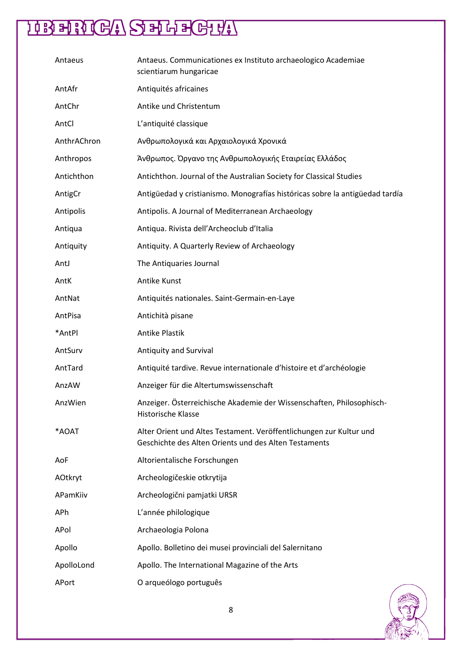| Antaeus     | Antaeus. Communicationes ex Instituto archaeologico Academiae<br>scientiarum hungaricae                                      |
|-------------|------------------------------------------------------------------------------------------------------------------------------|
| AntAfr      | Antiquités africaines                                                                                                        |
| AntChr      | Antike und Christentum                                                                                                       |
| AntCl       | L'antiquité classique                                                                                                        |
| AnthrAChron | Ανθρωπολογικά και Αρχαιολογικά Χρονικά                                                                                       |
| Anthropos   | Άνθρωπος. Όργανο της Ανθρωπολογικής Εταιρείας Ελλάδος                                                                        |
| Antichthon  | Antichthon. Journal of the Australian Society for Classical Studies                                                          |
| AntigCr     | Antigüedad y cristianismo. Monografías históricas sobre la antigüedad tardía                                                 |
| Antipolis   | Antipolis. A Journal of Mediterranean Archaeology                                                                            |
| Antiqua     | Antiqua. Rivista dell'Archeoclub d'Italia                                                                                    |
| Antiquity   | Antiquity. A Quarterly Review of Archaeology                                                                                 |
| AntJ        | The Antiquaries Journal                                                                                                      |
| AntK        | Antike Kunst                                                                                                                 |
| AntNat      | Antiquités nationales. Saint-Germain-en-Laye                                                                                 |
| AntPisa     | Antichità pisane                                                                                                             |
| *AntPl      | <b>Antike Plastik</b>                                                                                                        |
| AntSurv     | Antiquity and Survival                                                                                                       |
| AntTard     | Antiquité tardive. Revue internationale d'histoire et d'archéologie                                                          |
| AnzAW       | Anzeiger für die Altertumswissenschaft                                                                                       |
| AnzWien     | Anzeiger. Österreichische Akademie der Wissenschaften, Philosophisch-<br><b>Historische Klasse</b>                           |
| *AOAT       | Alter Orient und Altes Testament. Veröffentlichungen zur Kultur und<br>Geschichte des Alten Orients und des Alten Testaments |
| AoF         | Altorientalische Forschungen                                                                                                 |
| AOtkryt     | Archeologičeskie otkrytija                                                                                                   |
| APamKiiv    | Archeologični pamjatki URSR                                                                                                  |
| APh         | L'année philologique                                                                                                         |
| APol        | Archaeologia Polona                                                                                                          |
| Apollo      | Apollo. Bolletino dei musei provinciali del Salernitano                                                                      |
| ApolloLond  | Apollo. The International Magazine of the Arts                                                                               |
| APort       | O arqueólogo português                                                                                                       |

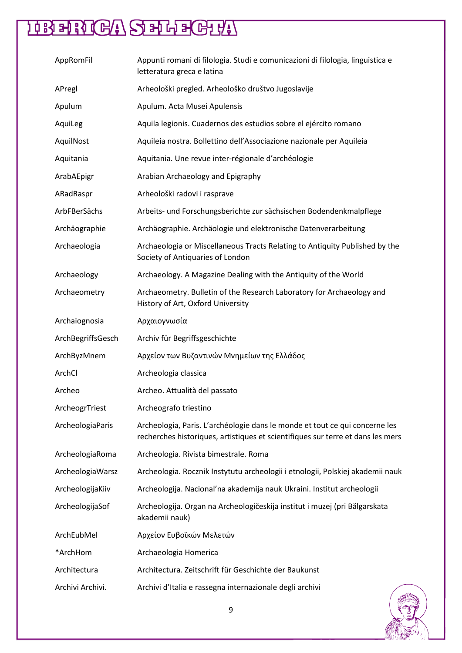| AppRomFil         | Appunti romani di filologia. Studi e comunicazioni di filologia, linguistica e<br>letteratura greca e latina                                                   |
|-------------------|----------------------------------------------------------------------------------------------------------------------------------------------------------------|
| APregl            | Arheološki pregled. Arheološko društvo Jugoslavije                                                                                                             |
| Apulum            | Apulum. Acta Musei Apulensis                                                                                                                                   |
| AquiLeg           | Aquila legionis. Cuadernos des estudios sobre el ejército romano                                                                                               |
| AquilNost         | Aquileia nostra. Bollettino dell'Associazione nazionale per Aquileia                                                                                           |
| Aquitania         | Aquitania. Une revue inter-régionale d'archéologie                                                                                                             |
| ArabAEpigr        | Arabian Archaeology and Epigraphy                                                                                                                              |
| ARadRaspr         | Arheološki radovi i rasprave                                                                                                                                   |
| ArbFBerSächs      | Arbeits- und Forschungsberichte zur sächsischen Bodendenkmalpflege                                                                                             |
| Archäographie     | Archäographie. Archäologie und elektronische Datenverarbeitung                                                                                                 |
| Archaeologia      | Archaeologia or Miscellaneous Tracts Relating to Antiquity Published by the<br>Society of Antiquaries of London                                                |
| Archaeology       | Archaeology. A Magazine Dealing with the Antiquity of the World                                                                                                |
| Archaeometry      | Archaeometry. Bulletin of the Research Laboratory for Archaeology and<br>History of Art, Oxford University                                                     |
| Archaiognosia     | Αρχαιογνωσία                                                                                                                                                   |
| ArchBegriffsGesch | Archiv für Begriffsgeschichte                                                                                                                                  |
| ArchByzMnem       | Αρχείον των Βυζαντινών Μνημείων της Ελλάδος                                                                                                                    |
| ArchCl            | Archeologia classica                                                                                                                                           |
| Archeo            | Archeo. Attualità del passato                                                                                                                                  |
| ArcheogrTriest    | Archeografo triestino                                                                                                                                          |
| ArcheologiaParis  | Archeologia, Paris. L'archéologie dans le monde et tout ce qui concerne les<br>recherches historiques, artistiques et scientifiques sur terre et dans les mers |
| ArcheologiaRoma   | Archeologia. Rivista bimestrale. Roma                                                                                                                          |
| ArcheologiaWarsz  | Archeologia. Rocznik Instytutu archeologii i etnologii, Polskiej akademii nauk                                                                                 |
| ArcheologijaKiiv  | Archeologija. Nacional'na akademija nauk Ukraini. Institut archeologii                                                                                         |
| ArcheologijaSof   | Archeologija. Organ na Archeologičeskija institut i muzej (pri Bălgarskata<br>akademii nauk)                                                                   |
| ArchEubMel        | Αρχείον Ευβοϊκών Μελετών                                                                                                                                       |
| *ArchHom          | Archaeologia Homerica                                                                                                                                          |
| Architectura      | Architectura. Zeitschrift für Geschichte der Baukunst                                                                                                          |
| Archivi Archivi.  | Archivi d'Italia e rassegna internazionale degli archivi                                                                                                       |

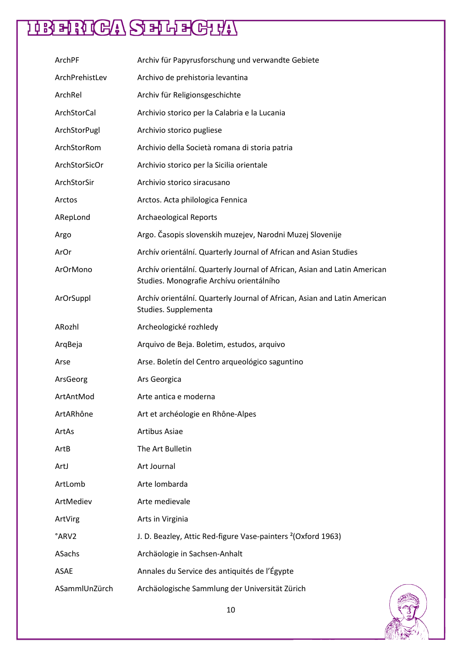| ArchPF         | Archiv für Papyrusforschung und verwandte Gebiete                                                                     |
|----------------|-----------------------------------------------------------------------------------------------------------------------|
| ArchPrehistLev | Archivo de prehistoria levantina                                                                                      |
| ArchRel        | Archiv für Religionsgeschichte                                                                                        |
| ArchStorCal    | Archivio storico per la Calabria e la Lucania                                                                         |
| ArchStorPugl   | Archivio storico pugliese                                                                                             |
| ArchStorRom    | Archivio della Società romana di storia patria                                                                        |
| ArchStorSicOr  | Archivio storico per la Sicilia orientale                                                                             |
| ArchStorSir    | Archivio storico siracusano                                                                                           |
| Arctos         | Arctos. Acta philologica Fennica                                                                                      |
| ARepLond       | <b>Archaeological Reports</b>                                                                                         |
| Argo           | Argo. Časopis slovenskih muzejev, Narodni Muzej Slovenije                                                             |
| ArOr           | Archív orientální. Quarterly Journal of African and Asian Studies                                                     |
| ArOrMono       | Archív orientální. Quarterly Journal of African, Asian and Latin American<br>Studies. Monografie Archívu orientálního |
| ArOrSuppl      | Archív orientální. Quarterly Journal of African, Asian and Latin American<br>Studies. Supplementa                     |
| ARozhl         | Archeologické rozhledy                                                                                                |
| ArqBeja        | Arquivo de Beja. Boletim, estudos, arquivo                                                                            |
| Arse           | Arse. Boletín del Centro arqueológico saguntino                                                                       |
| ArsGeorg       | Ars Georgica                                                                                                          |
| ArtAntMod      | Arte antica e moderna                                                                                                 |
| ArtARhône      | Art et archéologie en Rhône-Alpes                                                                                     |
| ArtAs          | <b>Artibus Asiae</b>                                                                                                  |
| ArtB           | The Art Bulletin                                                                                                      |
| ArtJ           | Art Journal                                                                                                           |
| ArtLomb        | Arte lombarda                                                                                                         |
| ArtMediev      | Arte medievale                                                                                                        |
| ArtVirg        | Arts in Virginia                                                                                                      |
| °ARV2          | J. D. Beazley, Attic Red-figure Vase-painters <sup>2</sup> (Oxford 1963)                                              |
| ASachs         | Archäologie in Sachsen-Anhalt                                                                                         |
| <b>ASAE</b>    | Annales du Service des antiquités de l'Égypte                                                                         |
| ASammlUnZürch  | Archäologische Sammlung der Universität Zürich                                                                        |

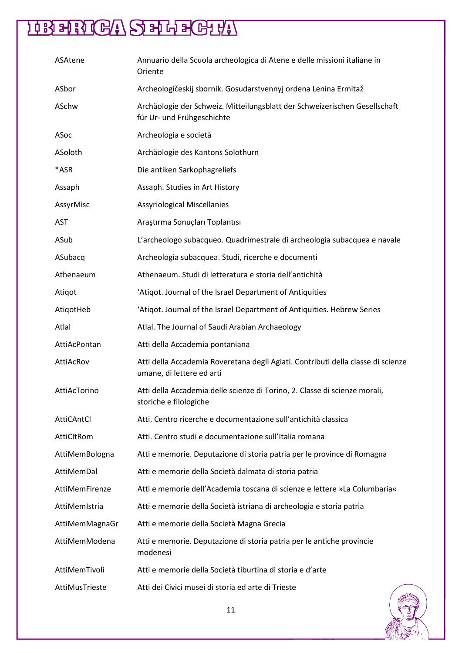| ASAtene        | Annuario della Scuola archeologica di Atene e delle missioni italiane in<br>Oriente                           |
|----------------|---------------------------------------------------------------------------------------------------------------|
| ASbor          | Archeologičeskij sbornik. Gosudarstvennyj ordena Lenina Ermitaž                                               |
| ASchw          | Archäologie der Schweiz. Mitteilungsblatt der Schweizerischen Gesellschaft<br>für Ur- und Frühgeschichte      |
| ASoc           | Archeologia e società                                                                                         |
| ASoloth        | Archäologie des Kantons Solothurn                                                                             |
| *ASR           | Die antiken Sarkophagreliefs                                                                                  |
| Assaph         | Assaph. Studies in Art History                                                                                |
| AssyrMisc      | <b>Assyriological Miscellanies</b>                                                                            |
| <b>AST</b>     | Araştırma Sonuçları Toplantısı                                                                                |
| ASub           | L'archeologo subacqueo. Quadrimestrale di archeologia subacquea e navale                                      |
| ASubacq        | Archeologia subacquea. Studi, ricerche e documenti                                                            |
| Athenaeum      | Athenaeum. Studi di letteratura e storia dell'antichità                                                       |
| Atiqot         | 'Atiqot. Journal of the Israel Department of Antiquities                                                      |
| AtiqotHeb      | 'Atiqot. Journal of the Israel Department of Antiquities. Hebrew Series                                       |
| Atlal          | Atlal. The Journal of Saudi Arabian Archaeology                                                               |
| AttiAcPontan   | Atti della Accademia pontaniana                                                                               |
| AttiAcRov      | Atti della Accademia Roveretana degli Agiati. Contributi della classe di scienze<br>umane, di lettere ed arti |
| AttiAcTorino   | Atti della Accademia delle scienze di Torino, 2. Classe di scienze morali,<br>storiche e filologiche          |
| AttiCAntCl     | Atti. Centro ricerche e documentazione sull'antichità classica                                                |
| AttiCltRom     | Atti. Centro studi e documentazione sull'Italia romana                                                        |
| AttiMemBologna | Atti e memorie. Deputazione di storia patria per le province di Romagna                                       |
| AttiMemDal     | Atti e memorie della Società dalmata di storia patria                                                         |
| AttiMemFirenze | Atti e memorie dell'Academia toscana di scienze e lettere »La Columbaria«                                     |
| AttiMemIstria  | Atti e memorie della Società istriana di archeologia e storia patria                                          |
| AttiMemMagnaGr | Atti e memorie della Società Magna Grecia                                                                     |
| AttiMemModena  | Atti e memorie. Deputazione di storia patria per le antiche provincie<br>modenesi                             |
| AttiMemTivoli  | Atti e memorie della Società tiburtina di storia e d'arte                                                     |
| AttiMusTrieste | Atti dei Civici musei di storia ed arte di Trieste                                                            |

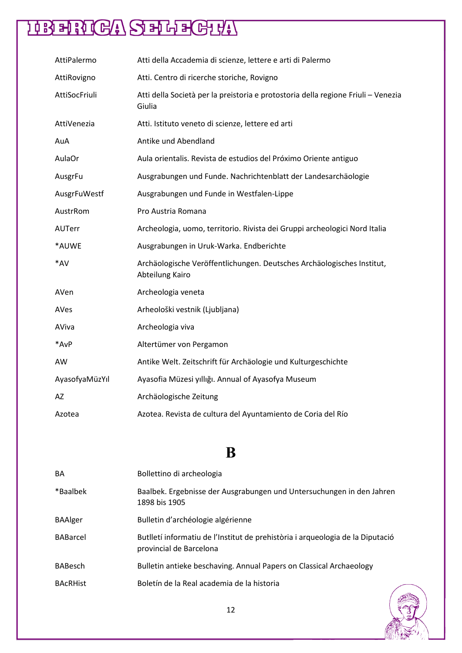| AttiPalermo    | Atti della Accademia di scienze, lettere e arti di Palermo                                  |
|----------------|---------------------------------------------------------------------------------------------|
| AttiRovigno    | Atti. Centro di ricerche storiche, Rovigno                                                  |
| AttiSocFriuli  | Atti della Società per la preistoria e protostoria della regione Friuli - Venezia<br>Giulia |
| AttiVenezia    | Atti. Istituto veneto di scienze, lettere ed arti                                           |
| AuA            | Antike und Abendland                                                                        |
| AulaOr         | Aula orientalis. Revista de estudios del Próximo Oriente antiguo                            |
| AusgrFu        | Ausgrabungen und Funde. Nachrichtenblatt der Landesarchäologie                              |
| AusgrFuWestf   | Ausgrabungen und Funde in Westfalen-Lippe                                                   |
| AustrRom       | Pro Austria Romana                                                                          |
| AUTerr         | Archeologia, uomo, territorio. Rivista dei Gruppi archeologici Nord Italia                  |
| *AUWE          | Ausgrabungen in Uruk-Warka. Endberichte                                                     |
| *AV            | Archäologische Veröffentlichungen. Deutsches Archäologisches Institut,<br>Abteilung Kairo   |
| AVen           | Archeologia veneta                                                                          |
| AVes           | Arheološki vestnik (Ljubljana)                                                              |
| AViva          | Archeologia viva                                                                            |
| *AvP           | Altertümer von Pergamon                                                                     |
| AW             | Antike Welt. Zeitschrift für Archäologie und Kulturgeschichte                               |
| AyasofyaMüzYıl | Ayasofia Müzesi yıllığı. Annual of Ayasofya Museum                                          |
| AZ             | Archäologische Zeitung                                                                      |
| Azotea         | Azotea. Revista de cultura del Ayuntamiento de Coria del Río                                |

#### **B**

| <b>BA</b>       | Bollettino di archeologia                                                                                 |
|-----------------|-----------------------------------------------------------------------------------------------------------|
| *Baalbek        | Baalbek. Ergebnisse der Ausgrabungen und Untersuchungen in den Jahren<br>1898 bis 1905                    |
| <b>BAAlger</b>  | Bulletin d'archéologie algérienne                                                                         |
| <b>BABarcel</b> | Butlletí informatiu de l'Institut de prehistòria i arqueologia de la Diputació<br>provincial de Barcelona |
| <b>BABesch</b>  | Bulletin antieke beschaving. Annual Papers on Classical Archaeology                                       |
| <b>BACRHist</b> | Boletín de la Real academia de la historia                                                                |

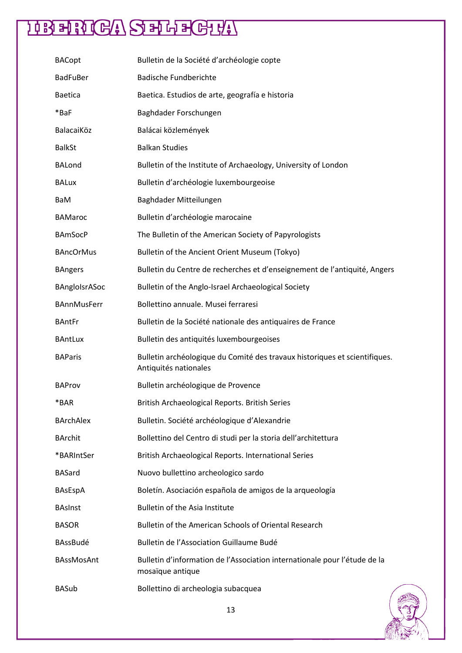| <b>BACopt</b>      | Bulletin de la Société d'archéologie copte                                                          |
|--------------------|-----------------------------------------------------------------------------------------------------|
| <b>BadFuBer</b>    | <b>Badische Fundberichte</b>                                                                        |
| <b>Baetica</b>     | Baetica. Estudios de arte, geografía e historia                                                     |
| *BaF               | Baghdader Forschungen                                                                               |
| BalacaiKöz         | Balácai közlemények                                                                                 |
| <b>BalkSt</b>      | <b>Balkan Studies</b>                                                                               |
| <b>BALond</b>      | Bulletin of the Institute of Archaeology, University of London                                      |
| <b>BALux</b>       | Bulletin d'archéologie luxembourgeoise                                                              |
| BaM                | Baghdader Mitteilungen                                                                              |
| <b>BAMaroc</b>     | Bulletin d'archéologie marocaine                                                                    |
| <b>BAmSocP</b>     | The Bulletin of the American Society of Papyrologists                                               |
| <b>BAncOrMus</b>   | Bulletin of the Ancient Orient Museum (Tokyo)                                                       |
| <b>BAngers</b>     | Bulletin du Centre de recherches et d'enseignement de l'antiquité, Angers                           |
| BAngloIsrASoc      | Bulletin of the Anglo-Israel Archaeological Society                                                 |
| <b>BAnnMusFerr</b> | Bollettino annuale. Musei ferraresi                                                                 |
| <b>BAntFr</b>      | Bulletin de la Société nationale des antiquaires de France                                          |
| <b>BAntLux</b>     | Bulletin des antiquités luxembourgeoises                                                            |
| <b>BAParis</b>     | Bulletin archéologique du Comité des travaux historiques et scientifiques.<br>Antiquités nationales |
| <b>BAProv</b>      | Bulletin archéologique de Provence                                                                  |
| *BAR               | British Archaeological Reports. British Series                                                      |
| <b>BArchAlex</b>   | Bulletin. Société archéologique d'Alexandrie                                                        |
| <b>BArchit</b>     | Bollettino del Centro di studi per la storia dell'architettura                                      |
| *BARIntSer         | British Archaeological Reports. International Series                                                |
| <b>BASard</b>      | Nuovo bullettino archeologico sardo                                                                 |
| BAsEspA            | Boletín. Asociación española de amigos de la arqueología                                            |
| <b>BAsInst</b>     | <b>Bulletin of the Asia Institute</b>                                                               |
| <b>BASOR</b>       | Bulletin of the American Schools of Oriental Research                                               |
| BAssBudé           | Bulletin de l'Association Guillaume Budé                                                            |
| <b>BAssMosAnt</b>  | Bulletin d'information de l'Association internationale pour l'étude de la<br>mosaïque antique       |
| <b>BASub</b>       | Bollettino di archeologia subacquea                                                                 |

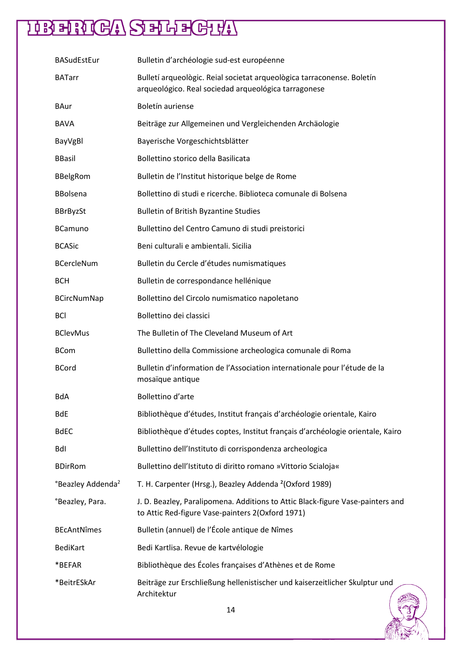| <b>BASudEstEur</b>                        | Bulletin d'archéologie sud-est européenne                                                                                          |
|-------------------------------------------|------------------------------------------------------------------------------------------------------------------------------------|
| <b>BATarr</b>                             | Bulletí arqueològic. Reial societat arqueològica tarraconense. Boletín<br>arqueológico. Real sociedad arqueológica tarragonese     |
| BAur                                      | Boletín auriense                                                                                                                   |
| BAVA                                      | Beiträge zur Allgemeinen und Vergleichenden Archäologie                                                                            |
| BayVgBl                                   | Bayerische Vorgeschichtsblätter                                                                                                    |
| <b>BBasil</b>                             | Bollettino storico della Basilicata                                                                                                |
| <b>BBelgRom</b>                           | Bulletin de l'Institut historique belge de Rome                                                                                    |
| <b>BBolsena</b>                           | Bollettino di studi e ricerche. Biblioteca comunale di Bolsena                                                                     |
| <b>BBrByzSt</b>                           | <b>Bulletin of British Byzantine Studies</b>                                                                                       |
| <b>BCamuno</b>                            | Bullettino del Centro Camuno di studi preistorici                                                                                  |
| <b>BCASic</b>                             | Beni culturali e ambientali. Sicilia                                                                                               |
| <b>BCercleNum</b>                         | Bulletin du Cercle d'études numismatiques                                                                                          |
| <b>BCH</b>                                | Bulletin de correspondance hellénique                                                                                              |
| <b>BCircNumNap</b>                        | Bollettino del Circolo numismatico napoletano                                                                                      |
| <b>BCI</b>                                | Bollettino dei classici                                                                                                            |
| <b>BClevMus</b>                           | The Bulletin of The Cleveland Museum of Art                                                                                        |
| <b>BCom</b>                               | Bullettino della Commissione archeologica comunale di Roma                                                                         |
| <b>BCord</b>                              | Bulletin d'information de l'Association internationale pour l'étude de la<br>mosaïque antique                                      |
| BdA                                       | Bollettino d'arte                                                                                                                  |
| BdE                                       | Bibliothèque d'études, Institut français d'archéologie orientale, Kairo                                                            |
| <b>BdEC</b>                               | Bibliothèque d'études coptes, Institut français d'archéologie orientale, Kairo                                                     |
| Bdl                                       | Bullettino dell'Instituto di corrispondenza archeologica                                                                           |
| <b>BDirRom</b>                            | Bullettino dell'Istituto di diritto romano »Vittorio Scialoja«                                                                     |
| <sup>°</sup> Beazley Addenda <sup>2</sup> | T. H. Carpenter (Hrsg.), Beazley Addenda <sup>2</sup> (Oxford 1989)                                                                |
| °Beazley, Para.                           | J. D. Beazley, Paralipomena. Additions to Attic Black-figure Vase-painters and<br>to Attic Red-figure Vase-painters 2(Oxford 1971) |
| <b>BEcAntNîmes</b>                        | Bulletin (annuel) de l'École antique de Nîmes                                                                                      |
| BediKart                                  | Bedi Kartlisa. Revue de kartvélologie                                                                                              |
| *BEFAR                                    | Bibliothèque des Écoles françaises d'Athènes et de Rome                                                                            |
| *BeitrESkAr                               | Beiträge zur Erschließung hellenistischer und kaiserzeitlicher Skulptur und<br>Architektur                                         |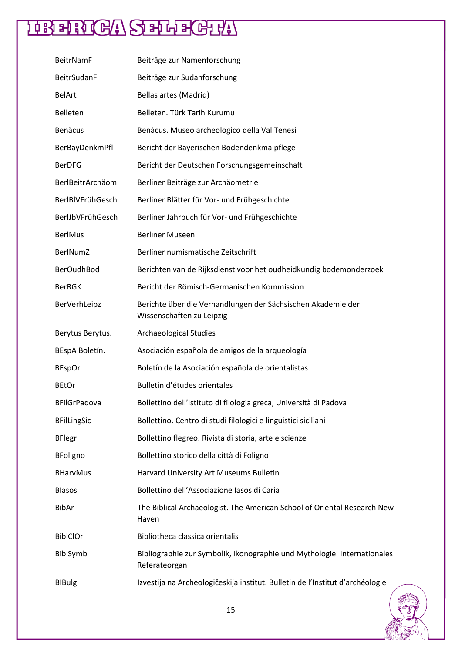| <b>BeitrNamF</b>    | Beiträge zur Namenforschung                                                               |
|---------------------|-------------------------------------------------------------------------------------------|
| <b>BeitrSudanF</b>  | Beiträge zur Sudanforschung                                                               |
| <b>BelArt</b>       | Bellas artes (Madrid)                                                                     |
| Belleten            | Belleten. Türk Tarih Kurumu                                                               |
| <b>Benàcus</b>      | Benàcus. Museo archeologico della Val Tenesi                                              |
| BerBayDenkmPfl      | Bericht der Bayerischen Bodendenkmalpflege                                                |
| <b>BerDFG</b>       | Bericht der Deutschen Forschungsgemeinschaft                                              |
| BerlBeitrArchäom    | Berliner Beiträge zur Archäometrie                                                        |
| BerlBIVFrühGesch    | Berliner Blätter für Vor- und Frühgeschichte                                              |
| BerlJbVFrühGesch    | Berliner Jahrbuch für Vor- und Frühgeschichte                                             |
| <b>BerlMus</b>      | <b>Berliner Museen</b>                                                                    |
| BerlNumZ            | Berliner numismatische Zeitschrift                                                        |
| <b>BerOudhBod</b>   | Berichten van de Rijksdienst voor het oudheidkundig bodemonderzoek                        |
| <b>BerRGK</b>       | Bericht der Römisch-Germanischen Kommission                                               |
| BerVerhLeipz        | Berichte über die Verhandlungen der Sächsischen Akademie der<br>Wissenschaften zu Leipzig |
| Berytus Berytus.    | Archaeological Studies                                                                    |
| BEspA Boletín.      | Asociación española de amigos de la arqueología                                           |
| <b>BEspOr</b>       | Boletín de la Asociación española de orientalistas                                        |
| <b>BEtOr</b>        | Bulletin d'études orientales                                                              |
| <b>BFilGrPadova</b> | Bollettino dell'Istituto di filologia greca, Università di Padova                         |
| <b>BFilLingSic</b>  | Bollettino. Centro di studi filologici e linguistici siciliani                            |
| <b>BFlegr</b>       | Bollettino flegreo. Rivista di storia, arte e scienze                                     |
| <b>BFoligno</b>     | Bollettino storico della città di Foligno                                                 |
| <b>BHarvMus</b>     | Harvard University Art Museums Bulletin                                                   |
| <b>Blasos</b>       | Bollettino dell'Associazione Iasos di Caria                                               |
| <b>BibAr</b>        | The Biblical Archaeologist. The American School of Oriental Research New<br>Haven         |
| <b>BiblClOr</b>     | Bibliotheca classica orientalis                                                           |
| BiblSymb            | Bibliographie zur Symbolik, Ikonographie und Mythologie. Internationales<br>Referateorgan |
| <b>BIBulg</b>       | Izvestija na Archeologičeskija institut. Bulletin de l'Institut d'archéologie             |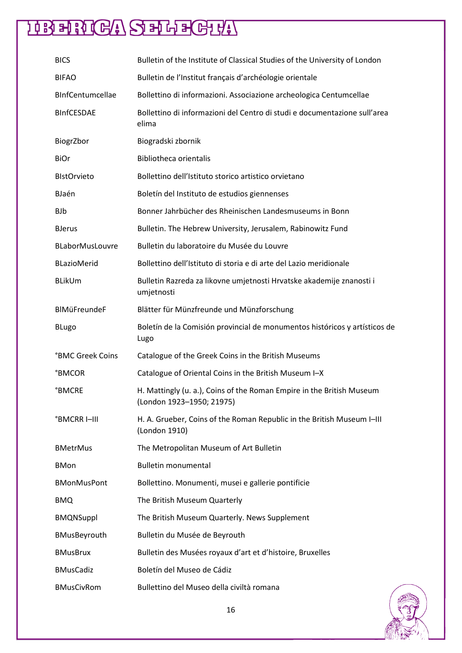| <b>BICS</b>             | Bulletin of the Institute of Classical Studies of the University of London                         |
|-------------------------|----------------------------------------------------------------------------------------------------|
| <b>BIFAO</b>            | Bulletin de l'Institut français d'archéologie orientale                                            |
| BInfCentumcellae        | Bollettino di informazioni. Associazione archeologica Centumcellae                                 |
| <b>BInfCESDAE</b>       | Bollettino di informazioni del Centro di studi e documentazione sull'area<br>elima                 |
| BiogrZbor               | Biogradski zbornik                                                                                 |
| <b>BiOr</b>             | <b>Bibliotheca orientalis</b>                                                                      |
| <b>BIstOrvieto</b>      | Bollettino dell'Istituto storico artistico orvietano                                               |
| BJaén                   | Boletín del Instituto de estudios giennenses                                                       |
| <b>BJb</b>              | Bonner Jahrbücher des Rheinischen Landesmuseums in Bonn                                            |
| <b>BJerus</b>           | Bulletin. The Hebrew University, Jerusalem, Rabinowitz Fund                                        |
| BLaborMusLouvre         | Bulletin du laboratoire du Musée du Louvre                                                         |
| <b>BLazioMerid</b>      | Bollettino dell'Istituto di storia e di arte del Lazio meridionale                                 |
| <b>BLikUm</b>           | Bulletin Razreda za likovne umjetnosti Hrvatske akademije znanosti i<br>umjetnosti                 |
| BIMüFreundeF            | Blätter für Münzfreunde und Münzforschung                                                          |
| <b>BLugo</b>            | Boletín de la Comisión provincial de monumentos históricos y artísticos de<br>Lugo                 |
| <b>°BMC Greek Coins</b> | Catalogue of the Greek Coins in the British Museums                                                |
| <b>BMCOR</b>            | Catalogue of Oriental Coins in the British Museum I-X                                              |
| <b>°BMCRE</b>           | H. Mattingly (u. a.), Coins of the Roman Empire in the British Museum<br>(London 1923-1950; 21975) |
| <b>BMCRRI-III</b>       | H. A. Grueber, Coins of the Roman Republic in the British Museum I-III<br>(London 1910)            |
| <b>BMetrMus</b>         | The Metropolitan Museum of Art Bulletin                                                            |
| <b>BMon</b>             | <b>Bulletin monumental</b>                                                                         |
| <b>BMonMusPont</b>      | Bollettino. Monumenti, musei e gallerie pontificie                                                 |
| <b>BMQ</b>              | The British Museum Quarterly                                                                       |
| <b>BMQNSuppl</b>        | The British Museum Quarterly. News Supplement                                                      |
| BMusBeyrouth            | Bulletin du Musée de Beyrouth                                                                      |
| <b>BMusBrux</b>         | Bulletin des Musées royaux d'art et d'histoire, Bruxelles                                          |
| <b>BMusCadiz</b>        | Boletín del Museo de Cádiz                                                                         |
| <b>BMusCivRom</b>       | Bullettino del Museo della civiltà romana                                                          |

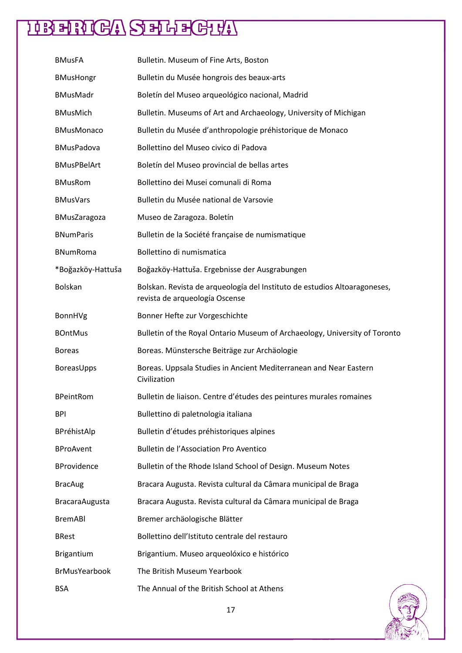| <b>BMusFA</b>         | Bulletin. Museum of Fine Arts, Boston                                                                       |
|-----------------------|-------------------------------------------------------------------------------------------------------------|
| <b>BMusHongr</b>      | Bulletin du Musée hongrois des beaux-arts                                                                   |
| <b>BMusMadr</b>       | Boletín del Museo arqueológico nacional, Madrid                                                             |
| <b>BMusMich</b>       | Bulletin. Museums of Art and Archaeology, University of Michigan                                            |
| <b>BMusMonaco</b>     | Bulletin du Musée d'anthropologie préhistorique de Monaco                                                   |
| <b>BMusPadova</b>     | Bollettino del Museo civico di Padova                                                                       |
| <b>BMusPBelArt</b>    | Boletín del Museo provincial de bellas artes                                                                |
| <b>BMusRom</b>        | Bollettino dei Musei comunali di Roma                                                                       |
| <b>BMusVars</b>       | Bulletin du Musée national de Varsovie                                                                      |
| <b>BMusZaragoza</b>   | Museo de Zaragoza. Boletín                                                                                  |
| <b>BNumParis</b>      | Bulletin de la Société française de numismatique                                                            |
| <b>BNumRoma</b>       | Bollettino di numismatica                                                                                   |
| *Boğazköy-Hattuša     | Boğazköy-Hattuša. Ergebnisse der Ausgrabungen                                                               |
| <b>Bolskan</b>        | Bolskan. Revista de arqueología del Instituto de estudios Altoaragoneses,<br>revista de arqueología Oscense |
| BonnHVg               | Bonner Hefte zur Vorgeschichte                                                                              |
| <b>BOntMus</b>        | Bulletin of the Royal Ontario Museum of Archaeology, University of Toronto                                  |
| <b>Boreas</b>         | Boreas. Münstersche Beiträge zur Archäologie                                                                |
| BoreasUpps            | Boreas. Uppsala Studies in Ancient Mediterranean and Near Eastern<br>Civilization                           |
| <b>BPeintRom</b>      | Bulletin de liaison. Centre d'études des peintures murales romaines                                         |
| <b>BPI</b>            | Bullettino di paletnologia italiana                                                                         |
| BPréhistAlp           | Bulletin d'études préhistoriques alpines                                                                    |
| <b>BProAvent</b>      | <b>Bulletin de l'Association Pro Aventico</b>                                                               |
| <b>BProvidence</b>    | Bulletin of the Rhode Island School of Design. Museum Notes                                                 |
| <b>BracAug</b>        | Bracara Augusta. Revista cultural da Câmara municipal de Braga                                              |
| <b>BracaraAugusta</b> | Bracara Augusta. Revista cultural da Câmara municipal de Braga                                              |
| <b>BremABI</b>        | Bremer archäologische Blätter                                                                               |
| <b>BRest</b>          | Bollettino dell'Istituto centrale del restauro                                                              |
| <b>Brigantium</b>     | Brigantium. Museo arqueolóxico e histórico                                                                  |
| <b>BrMusYearbook</b>  | The British Museum Yearbook                                                                                 |
| <b>BSA</b>            | The Annual of the British School at Athens                                                                  |

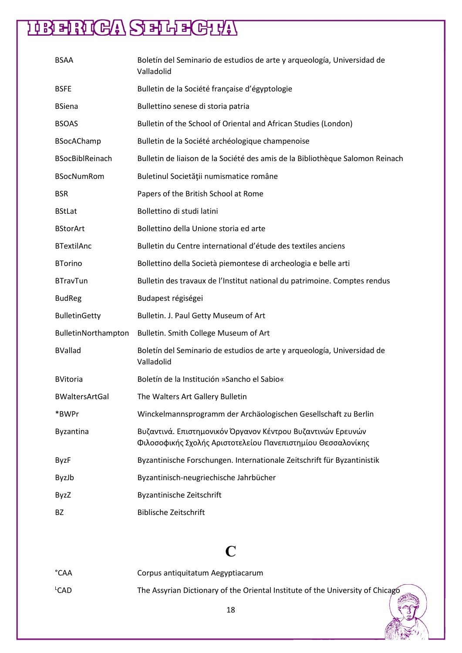| <b>BSAA</b>            | Boletín del Seminario de estudios de arte y arqueología, Universidad de<br>Valladolid                                      |
|------------------------|----------------------------------------------------------------------------------------------------------------------------|
| <b>BSFE</b>            | Bulletin de la Société française d'égyptologie                                                                             |
| <b>BSiena</b>          | Bullettino senese di storia patria                                                                                         |
| <b>BSOAS</b>           | Bulletin of the School of Oriental and African Studies (London)                                                            |
| <b>BSocAChamp</b>      | Bulletin de la Société archéologique champenoise                                                                           |
| <b>BSocBiblReinach</b> | Bulletin de liaison de la Société des amis de la Bibliothèque Salomon Reinach                                              |
| <b>BSocNumRom</b>      | Buletinul Societății numismatice române                                                                                    |
| <b>BSR</b>             | Papers of the British School at Rome                                                                                       |
| <b>BStLat</b>          | Bollettino di studi latini                                                                                                 |
| <b>BStorArt</b>        | Bollettino della Unione storia ed arte                                                                                     |
| <b>BTextilAnc</b>      | Bulletin du Centre international d'étude des textiles anciens                                                              |
| <b>BTorino</b>         | Bollettino della Società piemontese di archeologia e belle arti                                                            |
| <b>BTravTun</b>        | Bulletin des travaux de l'Institut national du patrimoine. Comptes rendus                                                  |
| <b>BudReg</b>          | Budapest régiségei                                                                                                         |
| <b>BulletinGetty</b>   | Bulletin. J. Paul Getty Museum of Art                                                                                      |
| BulletinNorthampton    | Bulletin. Smith College Museum of Art                                                                                      |
| <b>BVallad</b>         | Boletín del Seminario de estudios de arte y arqueología, Universidad de<br>Valladolid                                      |
| <b>BVitoria</b>        | Boletín de la Institución »Sancho el Sabio«                                                                                |
| <b>BWaltersArtGal</b>  | The Walters Art Gallery Bulletin                                                                                           |
| *BWPr                  | Winckelmannsprogramm der Archäologischen Gesellschaft zu Berlin                                                            |
| <b>Byzantina</b>       | Βυζαντινά. Επιστημονικόν Όργανον Κέντρου Βυζαντινών Ερευνών<br>Φιλοσοφικής Σχολής Αριστοτελείου Πανεπιστημίου Θεσσαλονίκης |
| <b>ByzF</b>            | Byzantinische Forschungen. Internationale Zeitschrift für Byzantinistik                                                    |
| ByzJb                  | Byzantinisch-neugriechische Jahrbücher                                                                                     |
| <b>ByzZ</b>            | Byzantinische Zeitschrift                                                                                                  |
| <b>BZ</b>              | <b>Biblische Zeitschrift</b>                                                                                               |

### **C**

| °CAA             | Corpus antiquitatum Aegyptiacarum                                              |
|------------------|--------------------------------------------------------------------------------|
| <sup>L</sup> CAD | The Assyrian Dictionary of the Oriental Institute of the University of Chicago |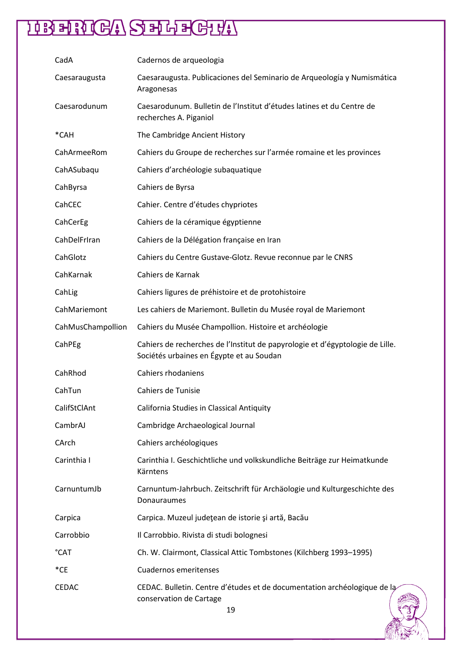| CadA              | Cadernos de arqueologia                                                                                                   |
|-------------------|---------------------------------------------------------------------------------------------------------------------------|
| Caesaraugusta     | Caesaraugusta. Publicaciones del Seminario de Arqueología y Numismática<br>Aragonesas                                     |
| Caesarodunum      | Caesarodunum. Bulletin de l'Institut d'études latines et du Centre de<br>recherches A. Piganiol                           |
| *CAH              | The Cambridge Ancient History                                                                                             |
| CahArmeeRom       | Cahiers du Groupe de recherches sur l'armée romaine et les provinces                                                      |
| CahASubaqu        | Cahiers d'archéologie subaquatique                                                                                        |
| CahByrsa          | Cahiers de Byrsa                                                                                                          |
| CahCEC            | Cahier. Centre d'études chypriotes                                                                                        |
| CahCerEg          | Cahiers de la céramique égyptienne                                                                                        |
| CahDelFrIran      | Cahiers de la Délégation française en Iran                                                                                |
| CahGlotz          | Cahiers du Centre Gustave-Glotz. Revue reconnue par le CNRS                                                               |
| CahKarnak         | Cahiers de Karnak                                                                                                         |
| CahLig            | Cahiers ligures de préhistoire et de protohistoire                                                                        |
| CahMariemont      | Les cahiers de Mariemont. Bulletin du Musée royal de Mariemont                                                            |
| CahMusChampollion | Cahiers du Musée Champollion. Histoire et archéologie                                                                     |
| CahPEg            | Cahiers de recherches de l'Institut de papyrologie et d'égyptologie de Lille.<br>Sociétés urbaines en Égypte et au Soudan |
| CahRhod           | Cahiers rhodaniens                                                                                                        |
| CahTun            | Cahiers de Tunisie                                                                                                        |
| CalifStClAnt      | California Studies in Classical Antiquity                                                                                 |
| CambrAJ           | Cambridge Archaeological Journal                                                                                          |
| CArch             | Cahiers archéologiques                                                                                                    |
| Carinthia I       | Carinthia I. Geschichtliche und volkskundliche Beiträge zur Heimatkunde<br>Kärntens                                       |
| CarnuntumJb       | Carnuntum-Jahrbuch. Zeitschrift für Archäologie und Kulturgeschichte des<br>Donauraumes                                   |
| Carpica           | Carpica. Muzeul județean de istorie și artă, Bacău                                                                        |
| Carrobbio         | Il Carrobbio. Rivista di studi bolognesi                                                                                  |
| °CAT              | Ch. W. Clairmont, Classical Attic Tombstones (Kilchberg 1993-1995)                                                        |
| $^*$ CE           | <b>Cuadernos emeritenses</b>                                                                                              |
| <b>CEDAC</b>      | CEDAC. Bulletin. Centre d'études et de documentation archéologique de la<br>conservation de Cartage<br>19                 |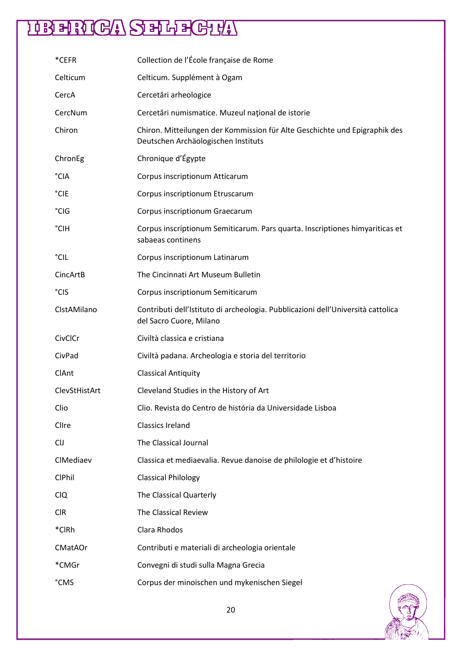| *CEFR         | Collection de l'École française de Rome                                                                           |
|---------------|-------------------------------------------------------------------------------------------------------------------|
| Celticum      | Celticum. Supplément à Ogam                                                                                       |
| CercA         | Cercetări arheologice                                                                                             |
| CercNum       | Cercetări numismatice. Muzeul național de istorie                                                                 |
| Chiron        | Chiron. Mitteilungen der Kommission für Alte Geschichte und Epigraphik des<br>Deutschen Archäologischen Instituts |
| ChronEg       | Chronique d'Égypte                                                                                                |
| °CIA          | Corpus inscriptionum Atticarum                                                                                    |
| °CIE          | Corpus inscriptionum Etruscarum                                                                                   |
| °CIG          | Corpus inscriptionum Graecarum                                                                                    |
| °CIH          | Corpus inscriptionum Semiticarum. Pars quarta. Inscriptiones himyariticas et<br>sabaeas continens                 |
| °CIL          | Corpus inscriptionum Latinarum                                                                                    |
| CincArtB      | The Cincinnati Art Museum Bulletin                                                                                |
| °CIS          | Corpus inscriptionum Semiticarum                                                                                  |
| CIstAMilano   | Contributi dell'Istituto di archeologia. Pubblicazioni dell'Università cattolica<br>del Sacro Cuore, Milano       |
| CivClCr       | Civiltà classica e cristiana                                                                                      |
| CivPad        | Civiltà padana. Archeologia e storia del territorio                                                               |
| ClAnt         | <b>Classical Antiquity</b>                                                                                        |
| ClevStHistArt | Cleveland Studies in the History of Art                                                                           |
| Clio          | Clio. Revista do Centro de história da Universidade Lisboa                                                        |
| Clire         | <b>Classics Ireland</b>                                                                                           |
| <b>CIJ</b>    | The Classical Journal                                                                                             |
| CIMediaev     | Classica et mediaevalia. Revue danoise de philologie et d'histoire                                                |
| <b>CIPhil</b> | <b>Classical Philology</b>                                                                                        |
| <b>CIQ</b>    | The Classical Quarterly                                                                                           |
| <b>CIR</b>    | The Classical Review                                                                                              |
| *CIRh         | Clara Rhodos                                                                                                      |
| CMatAOr       | Contributi e materiali di archeologia orientale                                                                   |
| *CMGr         | Convegni di studi sulla Magna Grecia                                                                              |
| °CMS          | Corpus der minoischen und mykenischen Siegel                                                                      |

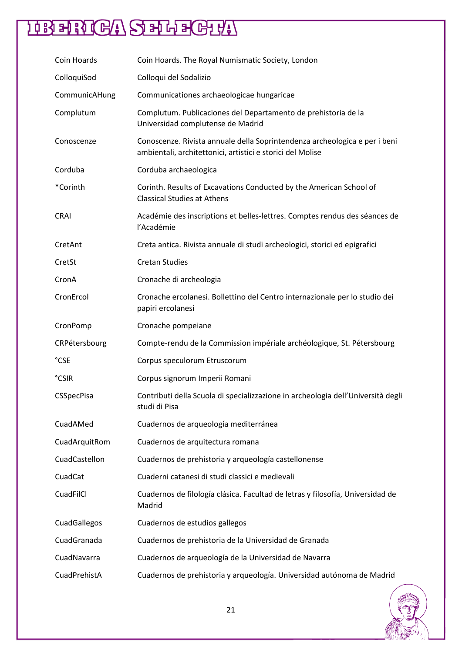| Coin Hoards   | Coin Hoards. The Royal Numismatic Society, London                                                                                        |
|---------------|------------------------------------------------------------------------------------------------------------------------------------------|
| ColloquiSod   | Colloqui del Sodalizio                                                                                                                   |
| CommunicAHung | Communicationes archaeologicae hungaricae                                                                                                |
| Complutum     | Complutum. Publicaciones del Departamento de prehistoria de la<br>Universidad complutense de Madrid                                      |
| Conoscenze    | Conoscenze. Rivista annuale della Soprintendenza archeologica e per i beni<br>ambientali, architettonici, artistici e storici del Molise |
| Corduba       | Corduba archaeologica                                                                                                                    |
| *Corinth      | Corinth. Results of Excavations Conducted by the American School of<br><b>Classical Studies at Athens</b>                                |
| <b>CRAI</b>   | Académie des inscriptions et belles-lettres. Comptes rendus des séances de<br>l'Académie                                                 |
| CretAnt       | Creta antica. Rivista annuale di studi archeologici, storici ed epigrafici                                                               |
| CretSt        | <b>Cretan Studies</b>                                                                                                                    |
| CronA         | Cronache di archeologia                                                                                                                  |
| CronErcol     | Cronache ercolanesi. Bollettino del Centro internazionale per lo studio dei<br>papiri ercolanesi                                         |
|               |                                                                                                                                          |
| CronPomp      | Cronache pompeiane                                                                                                                       |
| CRPétersbourg | Compte-rendu de la Commission impériale archéologique, St. Pétersbourg                                                                   |
| °CSE          | Corpus speculorum Etruscorum                                                                                                             |
| <b>°CSIR</b>  | Corpus signorum Imperii Romani                                                                                                           |
| CSSpecPisa    | Contributi della Scuola di specializzazione in archeologia dell'Università degli<br>studi di Pisa                                        |
| CuadAMed      | Cuadernos de arqueología mediterránea                                                                                                    |
| CuadArquitRom | Cuadernos de arquitectura romana                                                                                                         |
| CuadCastellon | Cuadernos de prehistoria y arqueología castellonense                                                                                     |
| CuadCat       | Cuaderni catanesi di studi classici e medievali                                                                                          |
| CuadFilCl     | Cuadernos de filología clásica. Facultad de letras y filosofía, Universidad de<br>Madrid                                                 |
| CuadGallegos  | Cuadernos de estudios gallegos                                                                                                           |
| CuadGranada   | Cuadernos de prehistoria de la Universidad de Granada                                                                                    |
| CuadNavarra   | Cuadernos de arqueología de la Universidad de Navarra                                                                                    |

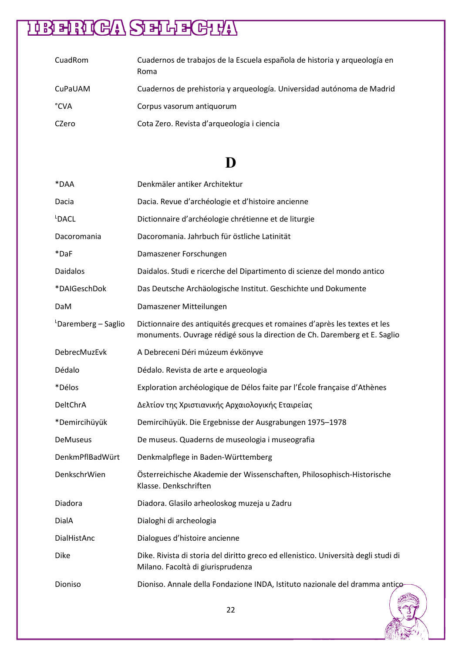| CuadRom | Cuadernos de trabajos de la Escuela española de historia y arqueología en<br>Roma |
|---------|-----------------------------------------------------------------------------------|
| CuPaUAM | Cuadernos de prehistoria y arqueología. Universidad autónoma de Madrid            |
| °CVA    | Corpus vasorum antiquorum                                                         |
| CZero   | Cota Zero. Revista d'arqueologia i ciencia                                        |

### **D**

| *DAA                            | Denkmäler antiker Architektur                                                                                                                           |
|---------------------------------|---------------------------------------------------------------------------------------------------------------------------------------------------------|
| Dacia                           | Dacia. Revue d'archéologie et d'histoire ancienne                                                                                                       |
| LDACL                           | Dictionnaire d'archéologie chrétienne et de liturgie                                                                                                    |
| Dacoromania                     | Dacoromania. Jahrbuch für östliche Latinität                                                                                                            |
| *DaF                            | Damaszener Forschungen                                                                                                                                  |
| <b>Daidalos</b>                 | Daidalos. Studi e ricerche del Dipartimento di scienze del mondo antico                                                                                 |
| *DAIGeschDok                    | Das Deutsche Archäologische Institut. Geschichte und Dokumente                                                                                          |
| DaM                             | Damaszener Mitteilungen                                                                                                                                 |
| <sup>L</sup> Daremberg – Saglio | Dictionnaire des antiquités grecques et romaines d'après les textes et les<br>monuments. Ouvrage rédigé sous la direction de Ch. Daremberg et E. Saglio |
| DebrecMuzEvk                    | A Debreceni Déri múzeum évkönyve                                                                                                                        |
| Dédalo                          | Dédalo. Revista de arte e arqueologia                                                                                                                   |
| *Délos                          | Exploration archéologique de Délos faite par l'École française d'Athènes                                                                                |
| DeltChrA                        | Δελτίον της Χριστιανικής Αρχαιολογικής Εταιρείας                                                                                                        |
| *Demircihüyük                   | Demircihüyük. Die Ergebnisse der Ausgrabungen 1975-1978                                                                                                 |
| DeMuseus                        | De museus. Quaderns de museologia i museografia                                                                                                         |
| DenkmPflBadWürt                 | Denkmalpflege in Baden-Württemberg                                                                                                                      |
| DenkschrWien                    | Österreichische Akademie der Wissenschaften, Philosophisch-Historische<br>Klasse. Denkschriften                                                         |
| Diadora                         | Diadora. Glasilo arheoloskog muzeja u Zadru                                                                                                             |
| DialA                           | Dialoghi di archeologia                                                                                                                                 |
| DialHistAnc                     | Dialogues d'histoire ancienne                                                                                                                           |
| Dike                            | Dike. Rivista di storia del diritto greco ed ellenistico. Università degli studi di<br>Milano. Facoltà di giurisprudenza                                |
| Dioniso                         | Dioniso. Annale della Fondazione INDA, Istituto nazionale del dramma antico-                                                                            |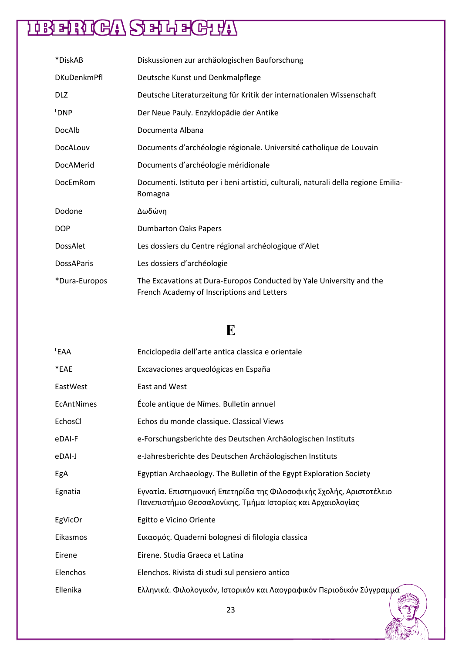| *DiskAB            | Diskussionen zur archäologischen Bauforschung                                                                      |
|--------------------|--------------------------------------------------------------------------------------------------------------------|
| <b>DKuDenkmPfl</b> | Deutsche Kunst und Denkmalpflege                                                                                   |
| <b>DLZ</b>         | Deutsche Literaturzeitung für Kritik der internationalen Wissenschaft                                              |
| L <sub>DNP</sub>   | Der Neue Pauly. Enzyklopädie der Antike                                                                            |
| DocAlb             | Documenta Albana                                                                                                   |
| DocALouv           | Documents d'archéologie régionale. Université catholique de Louvain                                                |
| DocAMerid          | Documents d'archéologie méridionale                                                                                |
| DocEmRom           | Documenti. Istituto per i beni artistici, culturali, naturali della regione Emilia-<br>Romagna                     |
| Dodone             | Δωδώνη                                                                                                             |
| <b>DOP</b>         | <b>Dumbarton Oaks Papers</b>                                                                                       |
| DossAlet           | Les dossiers du Centre régional archéologique d'Alet                                                               |
| <b>DossAParis</b>  | Les dossiers d'archéologie                                                                                         |
| *Dura-Europos      | The Excavations at Dura-Europos Conducted by Yale University and the<br>French Academy of Inscriptions and Letters |

### **E**

| LEAA       | Enciclopedia dell'arte antica classica e orientale                                                                                 |
|------------|------------------------------------------------------------------------------------------------------------------------------------|
| *EAE       | Excavaciones arqueológicas en España                                                                                               |
| EastWest   | East and West                                                                                                                      |
| EcAntNimes | École antique de Nîmes. Bulletin annuel                                                                                            |
| EchosCl    | Echos du monde classique. Classical Views                                                                                          |
| eDAI-F     | e-Forschungsberichte des Deutschen Archäologischen Instituts                                                                       |
| eDAI-J     | e-Jahresberichte des Deutschen Archäologischen Instituts                                                                           |
| EgA        | Egyptian Archaeology. The Bulletin of the Egypt Exploration Society                                                                |
| Egnatia    | Εγνατία. Επιστημονική Επετηρίδα της Φιλοσοφικής Σχολής, Αριστοτέλειο<br>Πανεπιστήμιο Θεσσαλονίκης, Τμήμα Ιστορίας και Αρχαιολογίας |
| EgVicOr    | Egitto e Vicino Oriente                                                                                                            |
| Eikasmos   | Εικασμός. Quaderni bolognesi di filologia classica                                                                                 |
| Eirene     | Eirene. Studia Graeca et Latina                                                                                                    |
| Elenchos   | Elenchos. Rivista di studi sul pensiero antico                                                                                     |
| Ellenika   | Ελληνικά. Φιλολογικόν, Ιστορικόν και Λαογραφικόν Περιοδικόν Σύγγραμμά                                                              |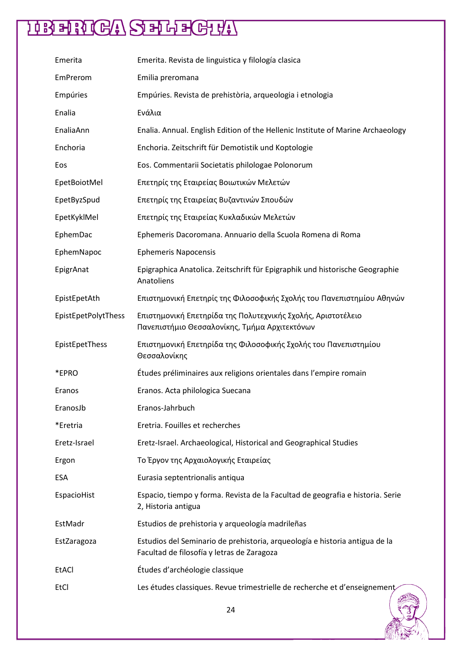| Emerita             | Emerita. Revista de linguistica y filología clasica                                                                       |
|---------------------|---------------------------------------------------------------------------------------------------------------------------|
| EmPrerom            | Emilia preromana                                                                                                          |
| Empúries            | Empúries. Revista de prehistòria, arqueologia i etnologia                                                                 |
| Enalia              | Ενάλια                                                                                                                    |
| EnaliaAnn           | Enalia. Annual. English Edition of the Hellenic Institute of Marine Archaeology                                           |
| Enchoria            | Enchoria. Zeitschrift für Demotistik und Koptologie                                                                       |
| Eos                 | Eos. Commentarii Societatis philologae Polonorum                                                                          |
| EpetBoiotMel        | Επετηρίς της Εταιρείας Βοιωτικών Μελετών                                                                                  |
| EpetByzSpud         | Επετηρίς της Εταιρείας Βυζαντινών Σπουδών                                                                                 |
| EpetKyklMel         | Επετηρίς της Εταιρείας Κυκλαδικών Μελετών                                                                                 |
| EphemDac            | Ephemeris Dacoromana. Annuario della Scuola Romena di Roma                                                                |
| EphemNapoc          | <b>Ephemeris Napocensis</b>                                                                                               |
| EpigrAnat           | Epigraphica Anatolica. Zeitschrift für Epigraphik und historische Geographie<br>Anatoliens                                |
| EpistEpetAth        | Επιστημονική Επετηρίς της Φιλοσοφικής Σχολής του Πανεπιστημίου Αθηνών                                                     |
| EpistEpetPolytThess | Επιστημονική Επετηρίδα της Πολυτεχνικής Σχολής, Αριστοτέλειο<br>Πανεπιστήμιο Θεσσαλονίκης, Τμήμα Αρχιτεκτόνων             |
| EpistEpetThess      | Επιστημονική Επετηρίδα της Φιλοσοφικής Σχολής του Πανεπιστημίου<br>Θεσσαλονίκης                                           |
| *EPRO               | Études préliminaires aux religions orientales dans l'empire romain                                                        |
| Eranos              | Eranos. Acta philologica Suecana                                                                                          |
| EranosJb            | Eranos-Jahrbuch                                                                                                           |
| *Eretria            | Eretria. Fouilles et recherches                                                                                           |
| Eretz-Israel        | Eretz-Israel. Archaeological, Historical and Geographical Studies                                                         |
| Ergon               | Το Έργον της Αρχαιολογικής Εταιρείας                                                                                      |
| <b>ESA</b>          | Eurasia septentrionalis antiqua                                                                                           |
| EspacioHist         | Espacio, tiempo y forma. Revista de la Facultad de geografia e historia. Serie<br>2, Historia antigua                     |
| EstMadr             | Estudios de prehistoria y arqueología madrileñas                                                                          |
| EstZaragoza         | Estudios del Seminario de prehistoria, arqueología e historia antigua de la<br>Facultad de filosofía y letras de Zaragoza |
| <b>EtACI</b>        | Études d'archéologie classique                                                                                            |
| EtCl                | Les études classiques. Revue trimestrielle de recherche et d'enseignement                                                 |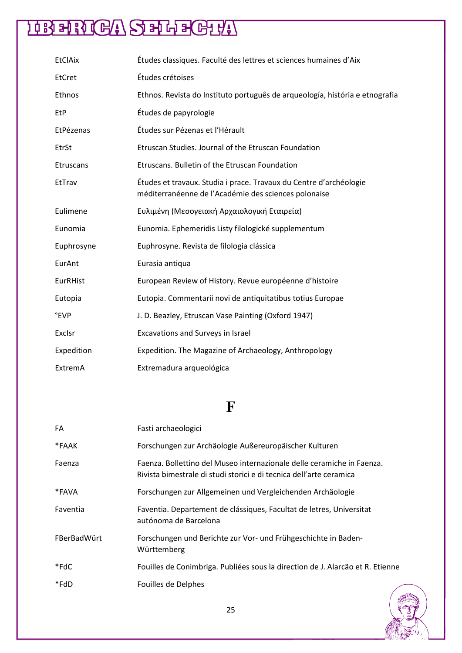| <b>EtClAix</b>   | Études classiques. Faculté des lettres et sciences humaines d'Aix                                                          |
|------------------|----------------------------------------------------------------------------------------------------------------------------|
| EtCret           | Études crétoises                                                                                                           |
| Ethnos           | Ethnos. Revista do Instituto português de arqueología, história e etnografia                                               |
| EtP              | Études de papyrologie                                                                                                      |
| EtPézenas        | Études sur Pézenas et l'Hérault                                                                                            |
| EtrSt            | Etruscan Studies. Journal of the Etruscan Foundation                                                                       |
| <b>Etruscans</b> | Etruscans. Bulletin of the Etruscan Foundation                                                                             |
| EtTrav           | Études et travaux. Studia i prace. Travaux du Centre d'archéologie<br>méditerranéenne de l'Académie des sciences polonaise |
| Eulimene         | Ευλιμένη (Μεσογειακή Αρχαιολογική Εταιρεία)                                                                                |
| Eunomia          | Eunomia. Ephemeridis Listy filologické supplementum                                                                        |
| Euphrosyne       | Euphrosyne. Revista de filologia clássica                                                                                  |
| EurAnt           | Eurasia antiqua                                                                                                            |
| EurRHist         | European Review of History. Revue européenne d'histoire                                                                    |
| Eutopia          | Eutopia. Commentarii novi de antiquitatibus totius Europae                                                                 |
| °EVP             | J. D. Beazley, Etruscan Vase Painting (Oxford 1947)                                                                        |
| Exclsr           | Excavations and Surveys in Israel                                                                                          |
| Expedition       | Expedition. The Magazine of Archaeology, Anthropology                                                                      |
| ExtremA          | Extremadura arqueológica                                                                                                   |

### **F**

| FA          | Fasti archaeologici                                                                                                                           |
|-------------|-----------------------------------------------------------------------------------------------------------------------------------------------|
| *FAAK       | Forschungen zur Archäologie Außereuropäischer Kulturen                                                                                        |
| Faenza      | Faenza. Bollettino del Museo internazionale delle ceramiche in Faenza.<br>Rivista bimestrale di studi storici e di tecnica dell'arte ceramica |
| *FAVA       | Forschungen zur Allgemeinen und Vergleichenden Archäologie                                                                                    |
| Faventia    | Faventia. Departement de clássiques, Facultat de letres, Universitat<br>autónoma de Barcelona                                                 |
| FBerBadWürt | Forschungen und Berichte zur Vor- und Frühgeschichte in Baden-<br>Württemberg                                                                 |
| *FdC        | Fouilles de Conimbriga. Publiées sous la direction de J. Alarcão et R. Etienne                                                                |
| *FdD        | Fouilles de Delphes                                                                                                                           |

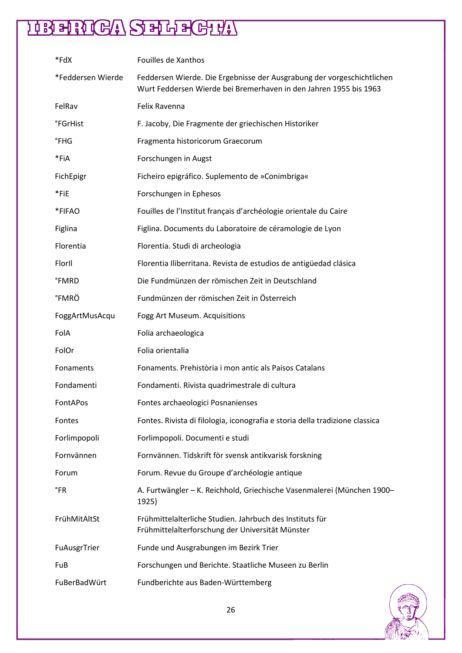| *FdX                          | Fouilles de Xanthos                                                                                                                         |
|-------------------------------|---------------------------------------------------------------------------------------------------------------------------------------------|
| *Feddersen Wierde             | Feddersen Wierde. Die Ergebnisse der Ausgrabung der vorgeschichtlichen<br>Wurt Feddersen Wierde bei Bremerhaven in den Jahren 1955 bis 1963 |
| FelRav                        | Felix Ravenna                                                                                                                               |
| <b><i><u>°FGrHist</u></i></b> | F. Jacoby, Die Fragmente der griechischen Historiker                                                                                        |
| °FHG                          | Fragmenta historicorum Graecorum                                                                                                            |
| *FiA                          | Forschungen in Augst                                                                                                                        |
| FichEpigr                     | Ficheiro epigráfico. Suplemento de »Conimbriga«                                                                                             |
| *FiE                          | Forschungen in Ephesos                                                                                                                      |
| *FIFAO                        | Fouilles de l'Institut français d'archéologie orientale du Caire                                                                            |
| Figlina                       | Figlina. Documents du Laboratoire de céramologie de Lyon                                                                                    |
| Florentia                     | Florentia. Studi di archeologia                                                                                                             |
| FlorII                        | Florentia Iliberritana. Revista de estudios de antigüedad clásica                                                                           |
| <b>°FMRD</b>                  | Die Fundmünzen der römischen Zeit in Deutschland                                                                                            |
| °FMRÖ                         | Fundmünzen der römischen Zeit in Österreich                                                                                                 |
| FoggArtMusAcqu                | Fogg Art Museum. Acquisitions                                                                                                               |
| FolA                          | Folia archaeologica                                                                                                                         |
| FolOr                         | Folia orientalia                                                                                                                            |
| Fonaments                     | Fonaments. Prehistòria i mon antic als Paisos Catalans                                                                                      |
| Fondamenti                    | Fondamenti. Rivista quadrimestrale di cultura                                                                                               |
| <b>FontAPos</b>               | Fontes archaeologici Posnanienses                                                                                                           |
| Fontes                        | Fontes. Rivista di filologia, iconografia e storia della tradizione classica                                                                |
| Forlimpopoli                  | Forlimpopoli. Documenti e studi                                                                                                             |
| Fornvännen                    | Fornvännen. Tidskrift för svensk antikvarisk forskning                                                                                      |
| Forum                         | Forum. Revue du Groupe d'archéologie antique                                                                                                |
| °FR                           | A. Furtwängler - K. Reichhold, Griechische Vasenmalerei (München 1900-<br>1925)                                                             |
| FrühMitAltSt                  | Frühmittelalterliche Studien. Jahrbuch des Instituts für                                                                                    |
|                               | Frühmittelalterforschung der Universität Münster                                                                                            |
| FuAusgrTrier                  | Funde und Ausgrabungen im Bezirk Trier                                                                                                      |
| FuB                           | Forschungen und Berichte. Staatliche Museen zu Berlin                                                                                       |

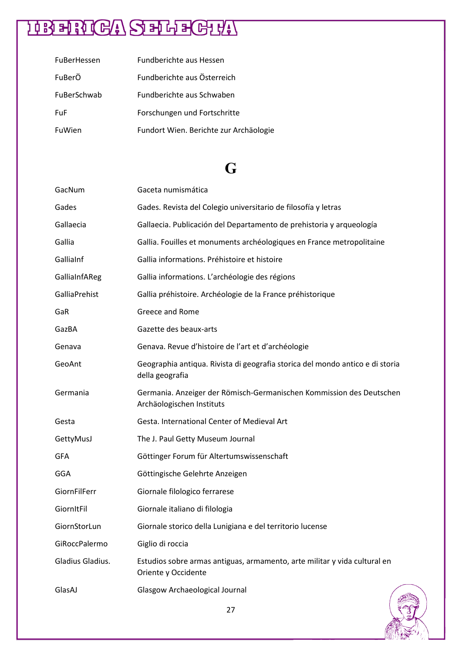# HEHRICA SERECHA

| FuBerHessen | Fundberichte aus Hessen                |
|-------------|----------------------------------------|
| FuBerÖ      | Fundberichte aus Österreich            |
| FuBerSchwab | Eundberichte aus Schwaben              |
| FuF         | Forschungen und Fortschritte           |
| FuWien      | Fundort Wien. Berichte zur Archäologie |

### **G**

| GacNum           | Gaceta numismática                                                                                |
|------------------|---------------------------------------------------------------------------------------------------|
| Gades            | Gades. Revista del Colegio universitario de filosofía y letras                                    |
| Gallaecia        | Gallaecia. Publicación del Departamento de prehistoria y arqueología                              |
| Gallia           | Gallia. Fouilles et monuments archéologiques en France metropolitaine                             |
| GalliaInf        | Gallia informations. Préhistoire et histoire                                                      |
| GalliaInfAReg    | Gallia informations. L'archéologie des régions                                                    |
| GalliaPrehist    | Gallia préhistoire. Archéologie de la France préhistorique                                        |
| GaR              | Greece and Rome                                                                                   |
| GazBA            | Gazette des beaux-arts                                                                            |
| Genava           | Genava. Revue d'histoire de l'art et d'archéologie                                                |
| GeoAnt           | Geographia antiqua. Rivista di geografia storica del mondo antico e di storia<br>della geografia  |
| Germania         | Germania. Anzeiger der Römisch-Germanischen Kommission des Deutschen<br>Archäologischen Instituts |
| Gesta            | Gesta. International Center of Medieval Art                                                       |
| GettyMusJ        | The J. Paul Getty Museum Journal                                                                  |
| GFA              | Göttinger Forum für Altertumswissenschaft                                                         |
| GGA              | Göttingische Gelehrte Anzeigen                                                                    |
| GiornFilFerr     | Giornale filologico ferrarese                                                                     |
| GiornItFil       | Giornale italiano di filologia                                                                    |
| GiornStorLun     | Giornale storico della Lunigiana e del territorio lucense                                         |
| GiRoccPalermo    | Giglio di roccia                                                                                  |
| Gladius Gladius. | Estudios sobre armas antiguas, armamento, arte militar y vida cultural en<br>Oriente y Occidente  |
| GlasAJ           | Glasgow Archaeological Journal                                                                    |

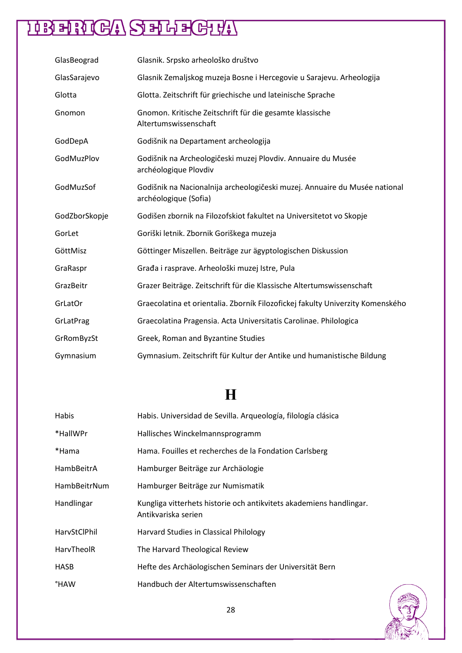| GlasBeograd   | Glasnik. Srpsko arheološko društvo                                                                  |
|---------------|-----------------------------------------------------------------------------------------------------|
| GlasSarajevo  | Glasnik Zemaljskog muzeja Bosne i Hercegovie u Sarajevu. Arheologija                                |
| Glotta        | Glotta. Zeitschrift für griechische und lateinische Sprache                                         |
| Gnomon        | Gnomon. Kritische Zeitschrift für die gesamte klassische<br>Altertumswissenschaft                   |
| GodDepA       | Godišnik na Departament archeologija                                                                |
| GodMuzPlov    | Godišnik na Archeologičeski muzej Plovdiv. Annuaire du Musée<br>archéologique Plovdiv               |
| GodMuzSof     | Godišnik na Nacionalnija archeologičeski muzej. Annuaire du Musée national<br>archéologique (Sofia) |
| GodZborSkopje | Godišen zbornik na Filozofskiot fakultet na Universitetot vo Skopje                                 |
| GorLet        | Goriški letnik. Zbornik Goriškega muzeja                                                            |
| GöttMisz      | Göttinger Miszellen. Beiträge zur ägyptologischen Diskussion                                        |
| GraRaspr      | Građa i rasprave. Arheološki muzej Istre, Pula                                                      |
| GrazBeitr     | Grazer Beiträge. Zeitschrift für die Klassische Altertumswissenschaft                               |
| GrLatOr       | Graecolatina et orientalia. Zborník Filozofickej fakulty Univerzity Komenského                      |
| GrLatPrag     | Graecolatina Pragensia. Acta Universitatis Carolinae. Philologica                                   |
| GrRomByzSt    | Greek, Roman and Byzantine Studies                                                                  |
| Gymnasium     | Gymnasium. Zeitschrift für Kultur der Antike und humanistische Bildung                              |

### **H**

| Habis        | Habis. Universidad de Sevilla. Arqueología, filología clásica                              |
|--------------|--------------------------------------------------------------------------------------------|
| *HallWPr     | Hallisches Winckelmannsprogramm                                                            |
| *Hama        | Hama. Fouilles et recherches de la Fondation Carlsberg                                     |
| HambBeitrA   | Hamburger Beiträge zur Archäologie                                                         |
| HambBeitrNum | Hamburger Beiträge zur Numismatik                                                          |
| Handlingar   | Kungliga vitterhets historie och antikvitets akademiens handlingar.<br>Antikvariska serien |
| HarvStClPhil | Harvard Studies in Classical Philology                                                     |
| HarvTheolR   | The Harvard Theological Review                                                             |
| <b>HASB</b>  | Hefte des Archäologischen Seminars der Universität Bern                                    |
| °HAW         | Handbuch der Altertumswissenschaften                                                       |

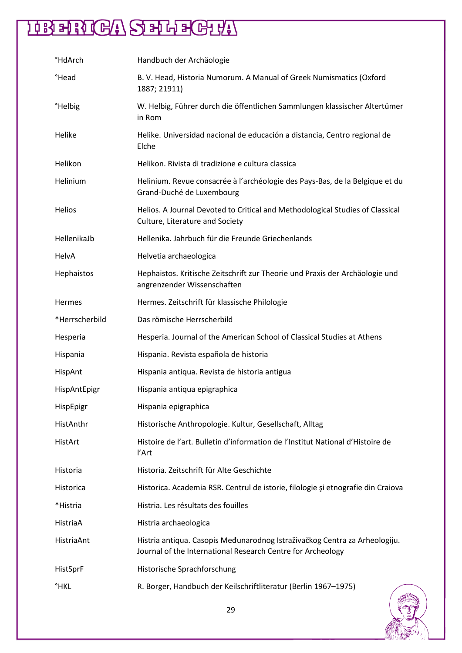| <b>HdArch</b>       | Handbuch der Archäologie                                                                                                                  |
|---------------------|-------------------------------------------------------------------------------------------------------------------------------------------|
| <b>Head</b>         | B. V. Head, Historia Numorum. A Manual of Greek Numismatics (Oxford<br>1887; 21911)                                                       |
| <sup>°</sup> Helbig | W. Helbig, Führer durch die öffentlichen Sammlungen klassischer Altertümer<br>in Rom                                                      |
| Helike              | Helike. Universidad nacional de educación a distancia, Centro regional de<br>Elche                                                        |
| Helikon             | Helikon. Rivista di tradizione e cultura classica                                                                                         |
| Helinium            | Helinium. Revue consacrée à l'archéologie des Pays-Bas, de la Belgique et du<br>Grand-Duché de Luxembourg                                 |
| Helios              | Helios. A Journal Devoted to Critical and Methodological Studies of Classical<br>Culture, Literature and Society                          |
| HellenikaJb         | Hellenika, Jahrbuch für die Freunde Griechenlands                                                                                         |
| HelvA               | Helvetia archaeologica                                                                                                                    |
| Hephaistos          | Hephaistos. Kritische Zeitschrift zur Theorie und Praxis der Archäologie und<br>angrenzender Wissenschaften                               |
| Hermes              | Hermes. Zeitschrift für klassische Philologie                                                                                             |
| *Herrscherbild      | Das römische Herrscherbild                                                                                                                |
| Hesperia            | Hesperia. Journal of the American School of Classical Studies at Athens                                                                   |
| Hispania            | Hispania. Revista española de historia                                                                                                    |
| HispAnt             | Hispania antiqua. Revista de historia antigua                                                                                             |
| HispAntEpigr        | Hispania antiqua epigraphica                                                                                                              |
| HispEpigr           | Hispania epigraphica                                                                                                                      |
| HistAnthr           | Historische Anthropologie. Kultur, Gesellschaft, Alltag                                                                                   |
| HistArt             | Histoire de l'art. Bulletin d'information de l'Institut National d'Histoire de<br>l'Art                                                   |
| Historia            | Historia. Zeitschrift für Alte Geschichte                                                                                                 |
| Historica           | Historica. Academia RSR. Centrul de istorie, filologie și etnografie din Craiova                                                          |
| *Histria            | Histria. Les résultats des fouilles                                                                                                       |
| HistriaA            | Histria archaeologica                                                                                                                     |
| HistriaAnt          | Histria antiqua. Casopis Međunarodnog Istraživačkog Centra za Arheologiju.<br>Journal of the International Research Centre for Archeology |
| HistSprF            | Historische Sprachforschung                                                                                                               |
| <b>HKL</b>          | R. Borger, Handbuch der Keilschriftliteratur (Berlin 1967-1975)                                                                           |

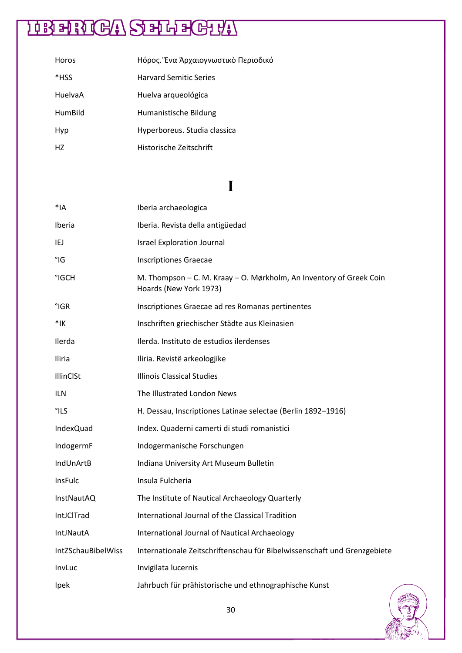| Horos   | Ηόρος. Ένα Άρχαιογνωστικὸ Περιοδικό |
|---------|-------------------------------------|
| *HSS    | <b>Harvard Semitic Series</b>       |
| HuelvaA | Huelva arqueológica                 |
| HumBild | Humanistische Bildung               |
| Hyp     | Hyperboreus. Studia classica        |
| HZ.     | Historische Zeitschrift             |

#### **I**

| $*1A$              | Iberia archaeologica                                                                          |
|--------------------|-----------------------------------------------------------------------------------------------|
| <b>Iberia</b>      | Iberia. Revista della antigüedad                                                              |
| IEJ                | <b>Israel Exploration Journal</b>                                                             |
| $^{\circ}$ IG      | <b>Inscriptiones Graecae</b>                                                                  |
| °IGCH              | M. Thompson – C. M. Kraay – O. Mørkholm, An Inventory of Greek Coin<br>Hoards (New York 1973) |
| $°$ IGR            | Inscriptiones Graecae ad res Romanas pertinentes                                              |
| $*$ IK             | Inschriften griechischer Städte aus Kleinasien                                                |
| Ilerda             | Ilerda. Instituto de estudios ilerdenses                                                      |
| Iliria             | Iliria. Revistë arkeologjike                                                                  |
| IllinClSt          | <b>Illinois Classical Studies</b>                                                             |
| <b>ILN</b>         | The Illustrated London News                                                                   |
| °ILS               | H. Dessau, Inscriptiones Latinae selectae (Berlin 1892-1916)                                  |
| <b>IndexQuad</b>   | Index. Quaderni camerti di studi romanistici                                                  |
| IndogermF          | Indogermanische Forschungen                                                                   |
| IndUnArtB          | Indiana University Art Museum Bulletin                                                        |
| InsFulc            | Insula Fulcheria                                                                              |
| InstNautAQ         | The Institute of Nautical Archaeology Quarterly                                               |
| IntJClTrad         | International Journal of the Classical Tradition                                              |
| <b>IntJNautA</b>   | International Journal of Nautical Archaeology                                                 |
| IntZSchauBibelWiss | Internationale Zeitschriftenschau für Bibelwissenschaft und Grenzgebiete                      |
| InvLuc             | Invigilata lucernis                                                                           |
| Ipek               | Jahrbuch für prähistorische und ethnographische Kunst                                         |

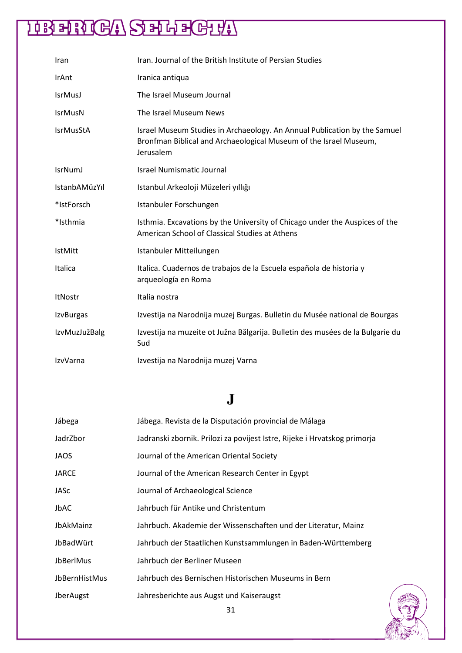| Iran                 | Iran. Journal of the British Institute of Persian Studies                                                                                                   |
|----------------------|-------------------------------------------------------------------------------------------------------------------------------------------------------------|
| IrAnt                | Iranica antiqua                                                                                                                                             |
| <b>IsrMusJ</b>       | The Israel Museum Journal                                                                                                                                   |
| <b>IsrMusN</b>       | The Israel Museum News                                                                                                                                      |
| <b>IsrMusStA</b>     | Israel Museum Studies in Archaeology. An Annual Publication by the Samuel<br>Bronfman Biblical and Archaeological Museum of the Israel Museum,<br>Jerusalem |
| <b>IsrNumJ</b>       | <b>Israel Numismatic Journal</b>                                                                                                                            |
| <b>IstanbAMüzYıl</b> | Istanbul Arkeoloji Müzeleri yıllığı                                                                                                                         |
| *IstForsch           | Istanbuler Forschungen                                                                                                                                      |
| *Isthmia             | Isthmia. Excavations by the University of Chicago under the Auspices of the<br>American School of Classical Studies at Athens                               |
| <b>IstMitt</b>       | Istanbuler Mitteilungen                                                                                                                                     |
| Italica              | Italica. Cuadernos de trabajos de la Escuela española de historia y<br>arqueología en Roma                                                                  |
| ItNostr              | Italia nostra                                                                                                                                               |
| <b>IzvBurgas</b>     | Izvestija na Narodnija muzej Burgas. Bulletin du Musée national de Bourgas                                                                                  |
| <b>IzvMuzJužBalg</b> | Izvestija na muzeite ot Južna Bălgarija. Bulletin des musées de la Bulgarie du<br>Sud                                                                       |
| IzvVarna             | Izvestija na Narodnija muzej Varna                                                                                                                          |

### **J**

| Jábega        | Jábega. Revista de la Disputación provincial de Málaga                    |
|---------------|---------------------------------------------------------------------------|
| JadrZbor      | Jadranski zbornik. Prilozi za povijest Istre, Rijeke i Hrvatskog primorja |
| JAOS          | Journal of the American Oriental Society                                  |
| <b>JARCE</b>  | Journal of the American Research Center in Egypt                          |
| JASc          | Journal of Archaeological Science                                         |
| JbAC          | Jahrbuch für Antike und Christentum                                       |
| JbAkMainz     | Jahrbuch. Akademie der Wissenschaften und der Literatur, Mainz            |
| JbBadWürt     | Jahrbuch der Staatlichen Kunstsammlungen in Baden-Württemberg             |
| JbBerlMus     | Jahrbuch der Berliner Museen                                              |
| JbBernHistMus | Jahrbuch des Bernischen Historischen Museums in Bern                      |
| JberAugst     | Jahresberichte aus Augst und Kaiseraugst                                  |

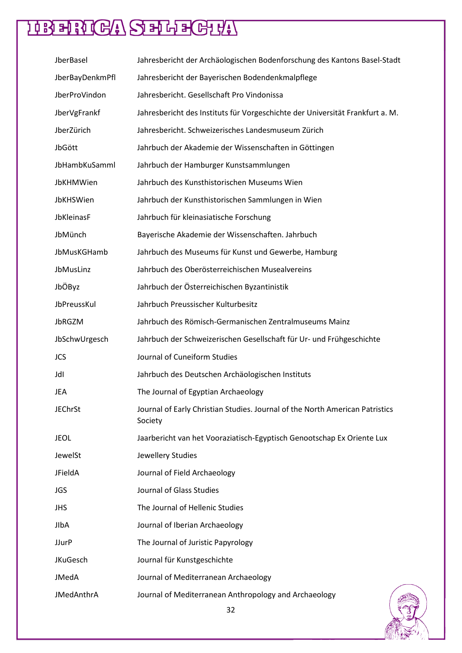| JberBasel         | Jahresbericht der Archäologischen Bodenforschung des Kantons Basel-Stadt                |
|-------------------|-----------------------------------------------------------------------------------------|
| JberBayDenkmPfl   | Jahresbericht der Bayerischen Bodendenkmalpflege                                        |
| JberProVindon     | Jahresbericht. Gesellschaft Pro Vindonissa                                              |
| JberVgFrankf      | Jahresbericht des Instituts für Vorgeschichte der Universität Frankfurt a. M.           |
| JberZürich        | Jahresbericht. Schweizerisches Landesmuseum Zürich                                      |
| JbGött            | Jahrbuch der Akademie der Wissenschaften in Göttingen                                   |
| JbHambKuSamml     | Jahrbuch der Hamburger Kunstsammlungen                                                  |
| JbKHMWien         | Jahrbuch des Kunsthistorischen Museums Wien                                             |
| JbKHSWien         | Jahrbuch der Kunsthistorischen Sammlungen in Wien                                       |
| JbKleinasF        | Jahrbuch für kleinasiatische Forschung                                                  |
| JbMünch           | Bayerische Akademie der Wissenschaften. Jahrbuch                                        |
| JbMusKGHamb       | Jahrbuch des Museums für Kunst und Gewerbe, Hamburg                                     |
| JbMusLinz         | Jahrbuch des Oberösterreichischen Musealvereins                                         |
| JbÖByz            | Jahrbuch der Österreichischen Byzantinistik                                             |
| JbPreussKul       | Jahrbuch Preussischer Kulturbesitz                                                      |
| JbRGZM            | Jahrbuch des Römisch-Germanischen Zentralmuseums Mainz                                  |
| JbSchwUrgesch     | Jahrbuch der Schweizerischen Gesellschaft für Ur- und Frühgeschichte                    |
| <b>JCS</b>        | Journal of Cuneiform Studies                                                            |
| JdI               | Jahrbuch des Deutschen Archäologischen Instituts                                        |
| JEA               | The Journal of Egyptian Archaeology                                                     |
| <b>JEChrSt</b>    | Journal of Early Christian Studies. Journal of the North American Patristics<br>Society |
| JEOL              | Jaarbericht van het Vooraziatisch-Egyptisch Genootschap Ex Oriente Lux                  |
| JewelSt           | Jewellery Studies                                                                       |
| JFieldA           | Journal of Field Archaeology                                                            |
| <b>JGS</b>        | Journal of Glass Studies                                                                |
| <b>JHS</b>        | The Journal of Hellenic Studies                                                         |
| JIbA              | Journal of Iberian Archaeology                                                          |
| <b>JJurP</b>      | The Journal of Juristic Papyrology                                                      |
| <b>JKuGesch</b>   | Journal für Kunstgeschichte                                                             |
| <b>JMedA</b>      | Journal of Mediterranean Archaeology                                                    |
| <b>JMedAnthrA</b> | Journal of Mediterranean Anthropology and Archaeology                                   |

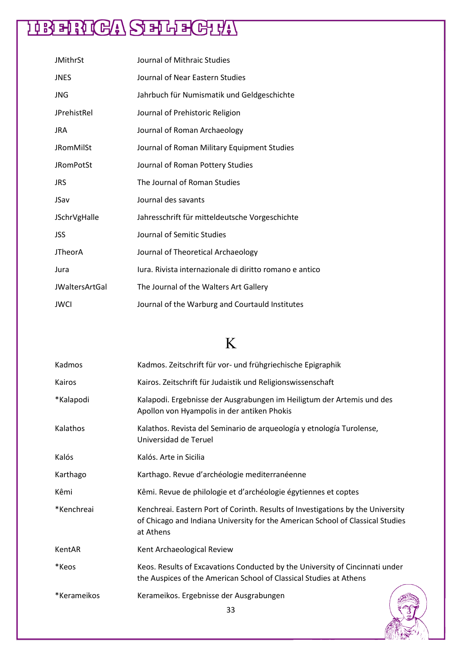| <b>JMithrSt</b>       | Journal of Mithraic Studies                             |
|-----------------------|---------------------------------------------------------|
| <b>JNES</b>           | Journal of Near Eastern Studies                         |
| <b>JNG</b>            | Jahrbuch für Numismatik und Geldgeschichte              |
| JPrehistRel           | Journal of Prehistoric Religion                         |
| <b>JRA</b>            | Journal of Roman Archaeology                            |
| <b>JRomMilSt</b>      | Journal of Roman Military Equipment Studies             |
| <b>JRomPotSt</b>      | Journal of Roman Pottery Studies                        |
| <b>JRS</b>            | The Journal of Roman Studies                            |
| JSav                  | Journal des savants                                     |
| <b>JSchrVgHalle</b>   | Jahresschrift für mitteldeutsche Vorgeschichte          |
| <b>JSS</b>            | Journal of Semitic Studies                              |
| <b>JTheorA</b>        | Journal of Theoretical Archaeology                      |
| Jura                  | lura. Rivista internazionale di diritto romano e antico |
| <b>JWaltersArtGal</b> | The Journal of the Walters Art Gallery                  |
| <b>JWCI</b>           | Journal of the Warburg and Courtauld Institutes         |

### K

| Kadmos      | Kadmos. Zeitschrift für vor- und frühgriechische Epigraphik                                                                                                                    |
|-------------|--------------------------------------------------------------------------------------------------------------------------------------------------------------------------------|
| Kairos      | Kairos. Zeitschrift für Judaistik und Religionswissenschaft                                                                                                                    |
| *Kalapodi   | Kalapodi. Ergebnisse der Ausgrabungen im Heiligtum der Artemis und des<br>Apollon von Hyampolis in der antiken Phokis                                                          |
| Kalathos    | Kalathos. Revista del Seminario de arqueología y etnología Turolense,<br>Universidad de Teruel                                                                                 |
| Kalós       | Kalós. Arte in Sicilia                                                                                                                                                         |
| Karthago    | Karthago. Revue d'archéologie mediterranéenne                                                                                                                                  |
| Kêmi        | Kêmi. Revue de philologie et d'archéologie égytiennes et coptes                                                                                                                |
| *Kenchreai  | Kenchreai. Eastern Port of Corinth. Results of Investigations by the University<br>of Chicago and Indiana University for the American School of Classical Studies<br>at Athens |
| KentAR      | Kent Archaeological Review                                                                                                                                                     |
| *Keos       | Keos. Results of Excavations Conducted by the University of Cincinnati under<br>the Auspices of the American School of Classical Studies at Athens                             |
| *Kerameikos | Kerameikos. Ergebnisse der Ausgrabungen<br>າ າ                                                                                                                                 |

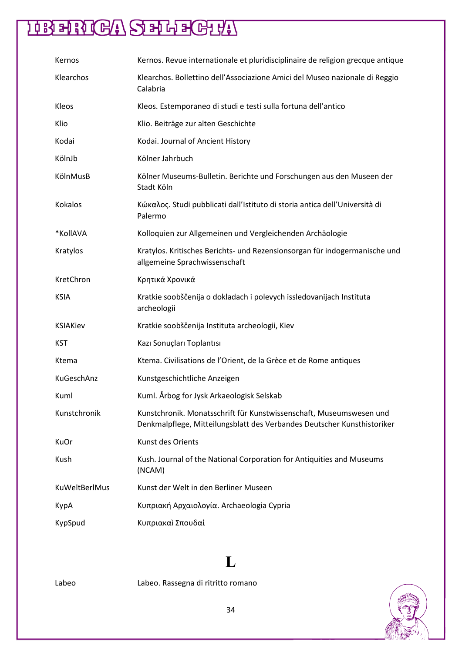### **HRENGA SELECHY**

| Kernos               | Kernos. Revue internationale et pluridisciplinaire de religion grecque antique                                                                 |
|----------------------|------------------------------------------------------------------------------------------------------------------------------------------------|
| Klearchos            | Klearchos. Bollettino dell'Associazione Amici del Museo nazionale di Reggio<br>Calabria                                                        |
| Kleos                | Kleos. Estemporaneo di studi e testi sulla fortuna dell'antico                                                                                 |
| Klio                 | Klio. Beiträge zur alten Geschichte                                                                                                            |
| Kodai                | Kodai. Journal of Ancient History                                                                                                              |
| KölnJb               | Kölner Jahrbuch                                                                                                                                |
| KölnMusB             | Kölner Museums-Bulletin. Berichte und Forschungen aus den Museen der<br>Stadt Köln                                                             |
| Kokalos              | Κώκαλος. Studi pubblicati dall'Istituto di storia antica dell'Università di<br>Palermo                                                         |
| *KollAVA             | Kolloquien zur Allgemeinen und Vergleichenden Archäologie                                                                                      |
| Kratylos             | Kratylos. Kritisches Berichts- und Rezensionsorgan für indogermanische und<br>allgemeine Sprachwissenschaft                                    |
| KretChron            | Κρητικά Χρονικά                                                                                                                                |
| <b>KSIA</b>          | Kratkie soobščenija o dokladach i polevych issledovanijach Instituta<br>archeologii                                                            |
| <b>KSIAKiev</b>      | Kratkie soobščenija Instituta archeologii, Kiev                                                                                                |
| KST                  | Kazı Sonuçları Toplantısı                                                                                                                      |
| Ktema                | Ktema. Civilisations de l'Orient, de la Grèce et de Rome antiques                                                                              |
| KuGeschAnz           | Kunstgeschichtliche Anzeigen                                                                                                                   |
| Kuml                 | Kuml. Årbog for Jysk Arkaeologisk Selskab                                                                                                      |
| Kunstchronik         | Kunstchronik. Monatsschrift für Kunstwissenschaft, Museumswesen und<br>Denkmalpflege, Mitteilungsblatt des Verbandes Deutscher Kunsthistoriker |
| KuOr                 | Kunst des Orients                                                                                                                              |
| Kush                 | Kush. Journal of the National Corporation for Antiquities and Museums<br>(NCAM)                                                                |
| <b>KuWeltBerlMus</b> | Kunst der Welt in den Berliner Museen                                                                                                          |
| KypA                 | Κυπριακή Αρχαιολογία. Archaeologia Cypria                                                                                                      |
| KypSpud              | Κυπριακαὶ Σπουδαί                                                                                                                              |

#### **L**

Labeo Labeo. Rassegna di ritritto romano

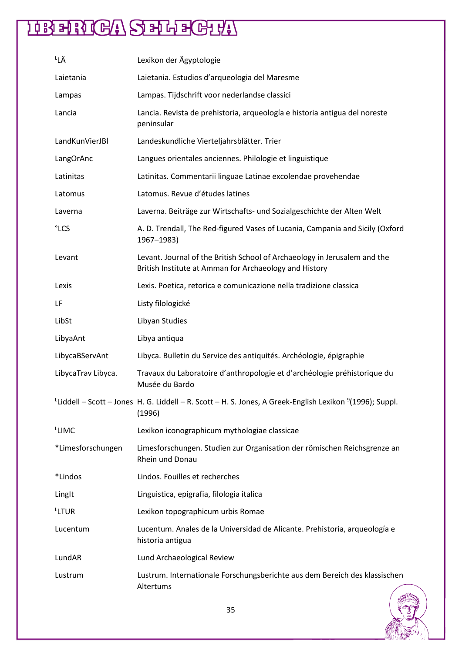| └LÄ                | Lexikon der Ägyptologie                                                                                                                    |
|--------------------|--------------------------------------------------------------------------------------------------------------------------------------------|
| Laietania          | Laietania. Estudios d'arqueologia del Maresme                                                                                              |
| Lampas             | Lampas. Tijdschrift voor nederlandse classici                                                                                              |
| Lancia             | Lancia. Revista de prehistoria, arqueología e historia antigua del noreste<br>peninsular                                                   |
| LandKunVierJBI     | Landeskundliche Vierteljahrsblätter. Trier                                                                                                 |
| LangOrAnc          | Langues orientales anciennes. Philologie et linguistique                                                                                   |
| Latinitas          | Latinitas. Commentarii linguae Latinae excolendae provehendae                                                                              |
| Latomus            | Latomus. Revue d'études latines                                                                                                            |
| Laverna            | Laverna. Beiträge zur Wirtschafts- und Sozialgeschichte der Alten Welt                                                                     |
| °LCS               | A. D. Trendall, The Red-figured Vases of Lucania, Campania and Sicily (Oxford<br>1967-1983)                                                |
| Levant             | Levant. Journal of the British School of Archaeology in Jerusalem and the<br>British Institute at Amman for Archaeology and History        |
| Lexis              | Lexis. Poetica, retorica e comunicazione nella tradizione classica                                                                         |
| LF                 | Listy filologické                                                                                                                          |
| LibSt              | Libyan Studies                                                                                                                             |
| LibyaAnt           | Libya antiqua                                                                                                                              |
| LibycaBServAnt     | Libyca. Bulletin du Service des antiquités. Archéologie, épigraphie                                                                        |
| LibycaTrav Libyca. | Travaux du Laboratoire d'anthropologie et d'archéologie préhistorique du<br>Musée du Bardo                                                 |
|                    | <sup>L</sup> Liddell – Scott – Jones H. G. Liddell – R. Scott – H. S. Jones, A Greek-English Lexikon <sup>9</sup> (1996); Suppl.<br>(1996) |
| LIMC               | Lexikon iconographicum mythologiae classicae                                                                                               |
| *Limesforschungen  | Limesforschungen. Studien zur Organisation der römischen Reichsgrenze an<br>Rhein und Donau                                                |
| *Lindos            | Lindos. Fouilles et recherches                                                                                                             |
| LingIt             | Linguistica, epigrafia, filologia italica                                                                                                  |
| <sup>L</sup> LTUR  | Lexikon topographicum urbis Romae                                                                                                          |
| Lucentum           | Lucentum. Anales de la Universidad de Alicante. Prehistoria, arqueología e<br>historia antigua                                             |
| LundAR             | Lund Archaeological Review                                                                                                                 |
| Lustrum            | Lustrum. Internationale Forschungsberichte aus dem Bereich des klassischen<br>Altertums                                                    |

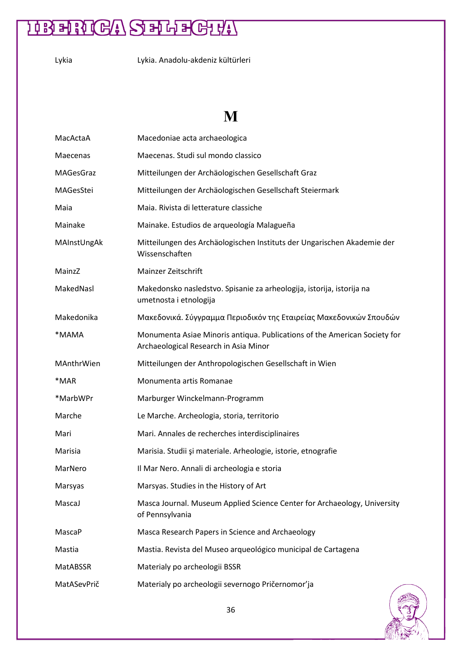Lykia Lykia. Anadolu-akdeniz kültürleri

#### **M**

| MacActaA    | Macedoniae acta archaeologica                                                                                      |
|-------------|--------------------------------------------------------------------------------------------------------------------|
| Maecenas    | Maecenas. Studi sul mondo classico                                                                                 |
| MAGesGraz   | Mitteilungen der Archäologischen Gesellschaft Graz                                                                 |
| MAGesStei   | Mitteilungen der Archäologischen Gesellschaft Steiermark                                                           |
| Maia        | Maia. Rivista di letterature classiche                                                                             |
| Mainake     | Mainake. Estudios de arqueología Malagueña                                                                         |
| MAInstUngAk | Mitteilungen des Archäologischen Instituts der Ungarischen Akademie der<br>Wissenschaften                          |
| MainzZ      | Mainzer Zeitschrift                                                                                                |
| MakedNasl   | Makedonsko nasledstvo. Spisanie za arheologija, istorija, istorija na<br>umetnosta i etnologija                    |
| Makedonika  | Μακεδονικά. Σύγγραμμα Περιοδικόν της Εταιρείας Μακεδονικών Σπουδών                                                 |
| *MAMA       | Monumenta Asiae Minoris antiqua. Publications of the American Society for<br>Archaeological Research in Asia Minor |
| MAnthrWien  | Mitteilungen der Anthropologischen Gesellschaft in Wien                                                            |
| *MAR        | Monumenta artis Romanae                                                                                            |
| *MarbWPr    | Marburger Winckelmann-Programm                                                                                     |
| Marche      | Le Marche. Archeologia, storia, territorio                                                                         |
| Mari        | Mari. Annales de recherches interdisciplinaires                                                                    |
| Marisia     | Marisia. Studii și materiale. Arheologie, istorie, etnografie                                                      |
| MarNero     | Il Mar Nero. Annali di archeologia e storia                                                                        |
| Marsyas     | Marsyas. Studies in the History of Art                                                                             |
| MascaJ      | Masca Journal. Museum Applied Science Center for Archaeology, University<br>of Pennsylvania                        |
| MascaP      | Masca Research Papers in Science and Archaeology                                                                   |
| Mastia      | Mastia. Revista del Museo arqueológico municipal de Cartagena                                                      |
| MatABSSR    | Materialy po archeologii BSSR                                                                                      |
| MatASevPrič | Materialy po archeologii severnogo Pričernomor'ja                                                                  |

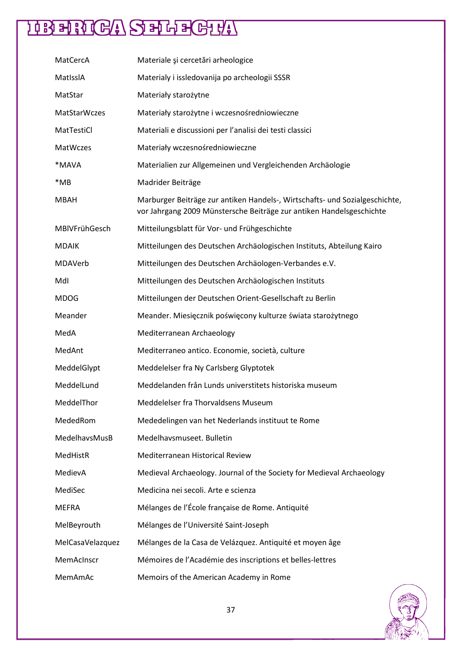| MatCercA            | Materiale și cercetări arheologice                                                                                                                  |
|---------------------|-----------------------------------------------------------------------------------------------------------------------------------------------------|
| MatIssIA            | Materialy i issledovanija po archeologii SSSR                                                                                                       |
| MatStar             | Materiały starożytne                                                                                                                                |
| <b>MatStarWczes</b> | Materiały starożytne i wczesnośredniowieczne                                                                                                        |
| MatTestiCl          | Materiali e discussioni per l'analisi dei testi classici                                                                                            |
| MatWczes            | Materiały wczesnośredniowieczne                                                                                                                     |
| *MAVA               | Materialien zur Allgemeinen und Vergleichenden Archäologie                                                                                          |
| *MB                 | Madrider Beiträge                                                                                                                                   |
| <b>MBAH</b>         | Marburger Beiträge zur antiken Handels-, Wirtschafts- und Sozialgeschichte,<br>vor Jahrgang 2009 Münstersche Beiträge zur antiken Handelsgeschichte |
| MBIVFrühGesch       | Mitteilungsblatt für Vor- und Frühgeschichte                                                                                                        |
| <b>MDAIK</b>        | Mitteilungen des Deutschen Archäologischen Instituts, Abteilung Kairo                                                                               |
| MDAVerb             | Mitteilungen des Deutschen Archäologen-Verbandes e.V.                                                                                               |
| Mdl                 | Mitteilungen des Deutschen Archäologischen Instituts                                                                                                |
| MDOG                | Mitteilungen der Deutschen Orient-Gesellschaft zu Berlin                                                                                            |
| Meander             | Meander. Miesięcznik poświęcony kulturze świata starożytnego                                                                                        |
| MedA                | Mediterranean Archaeology                                                                                                                           |
| MedAnt              | Mediterraneo antico. Economie, società, culture                                                                                                     |
| MeddelGlypt         | Meddelelser fra Ny Carlsberg Glyptotek                                                                                                              |
| MeddelLund          | Meddelanden från Lunds universtitets historiska museum                                                                                              |
| MeddelThor          | Meddelelser fra Thorvaldsens Museum                                                                                                                 |
| MededRom            | Mededelingen van het Nederlands instituut te Rome                                                                                                   |
| MedelhavsMusB       | Medelhavsmuseet. Bulletin                                                                                                                           |
| MedHistR            | Mediterranean Historical Review                                                                                                                     |
| MedievA             | Medieval Archaeology. Journal of the Society for Medieval Archaeology                                                                               |
| MediSec             | Medicina nei secoli. Arte e scienza                                                                                                                 |
| MEFRA               | Mélanges de l'École française de Rome. Antiquité                                                                                                    |
| MelBeyrouth         | Mélanges de l'Université Saint-Joseph                                                                                                               |
| MelCasaVelazquez    | Mélanges de la Casa de Velázquez. Antiquité et moyen âge                                                                                            |
| MemAcInscr          | Mémoires de l'Académie des inscriptions et belles-lettres                                                                                           |
| MemAmAc             | Memoirs of the American Academy in Rome                                                                                                             |

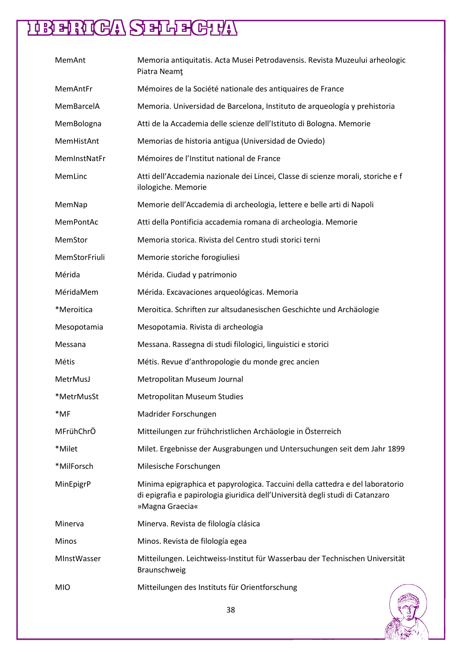| MemAnt        | Memoria antiquitatis. Acta Musei Petrodavensis. Revista Muzeului arheologic<br>Piatra Neamț                                                                                       |
|---------------|-----------------------------------------------------------------------------------------------------------------------------------------------------------------------------------|
| MemAntFr      | Mémoires de la Société nationale des antiquaires de France                                                                                                                        |
| MemBarcelA    | Memoria. Universidad de Barcelona, Instituto de arqueología y prehistoria                                                                                                         |
| MemBologna    | Atti de la Accademia delle scienze dell'Istituto di Bologna. Memorie                                                                                                              |
| MemHistAnt    | Memorias de historia antigua (Universidad de Oviedo)                                                                                                                              |
| MemInstNatFr  | Mémoires de l'Institut national de France                                                                                                                                         |
| MemLinc       | Atti dell'Accademia nazionale dei Lincei, Classe di scienze morali, storiche e f<br>ilologiche. Memorie                                                                           |
| MemNap        | Memorie dell'Accademia di archeologia, lettere e belle arti di Napoli                                                                                                             |
| MemPontAc     | Atti della Pontificia accademia romana di archeologia. Memorie                                                                                                                    |
| MemStor       | Memoria storica. Rivista del Centro studi storici terni                                                                                                                           |
| MemStorFriuli | Memorie storiche forogiuliesi                                                                                                                                                     |
| Mérida        | Mérida. Ciudad y patrimonio                                                                                                                                                       |
| MéridaMem     | Mérida. Excavaciones arqueológicas. Memoria                                                                                                                                       |
| *Meroitica    | Meroitica. Schriften zur altsudanesischen Geschichte und Archäologie                                                                                                              |
| Mesopotamia   | Mesopotamia. Rivista di archeologia                                                                                                                                               |
| Messana       | Messana. Rassegna di studi filologici, linguistici e storici                                                                                                                      |
| Métis         | Métis. Revue d'anthropologie du monde grec ancien                                                                                                                                 |
| MetrMusJ      | Metropolitan Museum Journal                                                                                                                                                       |
| *MetrMusSt    | <b>Metropolitan Museum Studies</b>                                                                                                                                                |
| *MF           | Madrider Forschungen                                                                                                                                                              |
| MFrühChrÖ     | Mitteilungen zur frühchristlichen Archäologie in Österreich                                                                                                                       |
| *Milet        | Milet. Ergebnisse der Ausgrabungen und Untersuchungen seit dem Jahr 1899                                                                                                          |
| *MilForsch    | Milesische Forschungen                                                                                                                                                            |
| MinEpigrP     | Minima epigraphica et papyrologica. Taccuini della cattedra e del laboratorio<br>di epigrafia e papirologia giuridica dell'Università degli studi di Catanzaro<br>»Magna Graecia« |
| Minerva       | Minerva. Revista de filología clásica                                                                                                                                             |
| <b>Minos</b>  | Minos. Revista de filología egea                                                                                                                                                  |
| MInstWasser   | Mitteilungen. Leichtweiss-Institut für Wasserbau der Technischen Universität<br>Braunschweig                                                                                      |
| <b>MIO</b>    | Mitteilungen des Instituts für Orientforschung                                                                                                                                    |

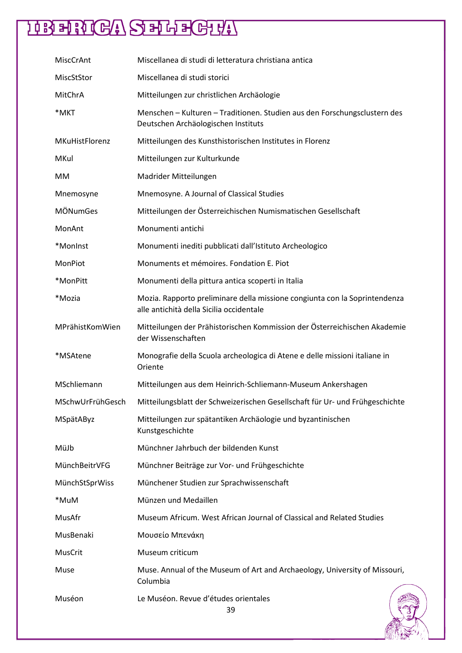| MiscCrAnt        | Miscellanea di studi di letteratura christiana antica                                                                  |
|------------------|------------------------------------------------------------------------------------------------------------------------|
| MiscStStor       | Miscellanea di studi storici                                                                                           |
| MitChrA          | Mitteilungen zur christlichen Archäologie                                                                              |
| *MKT             | Menschen - Kulturen - Traditionen. Studien aus den Forschungsclustern des<br>Deutschen Archäologischen Instituts       |
| MKuHistFlorenz   | Mitteilungen des Kunsthistorischen Institutes in Florenz                                                               |
| MKul             | Mitteilungen zur Kulturkunde                                                                                           |
| <b>MM</b>        | Madrider Mitteilungen                                                                                                  |
| Mnemosyne        | Mnemosyne. A Journal of Classical Studies                                                                              |
| <b>MÖNumGes</b>  | Mitteilungen der Österreichischen Numismatischen Gesellschaft                                                          |
| MonAnt           | Monumenti antichi                                                                                                      |
| *MonInst         | Monumenti inediti pubblicati dall'Istituto Archeologico                                                                |
| MonPiot          | Monuments et mémoires. Fondation E. Piot                                                                               |
| *MonPitt         | Monumenti della pittura antica scoperti in Italia                                                                      |
| *Mozia           | Mozia. Rapporto preliminare della missione congiunta con la Soprintendenza<br>alle antichità della Sicilia occidentale |
| MPrähistKomWien  | Mitteilungen der Prähistorischen Kommission der Österreichischen Akademie<br>der Wissenschaften                        |
| *MSAtene         | Monografie della Scuola archeologica di Atene e delle missioni italiane in<br>Oriente                                  |
| MSchliemann      | Mitteilungen aus dem Heinrich-Schliemann-Museum Ankershagen                                                            |
| MSchwUrFrühGesch | Mitteilungsblatt der Schweizerischen Gesellschaft für Ur- und Frühgeschichte                                           |
| MSpätAByz        | Mitteilungen zur spätantiken Archäologie und byzantinischen<br>Kunstgeschichte                                         |
| MüJb             | Münchner Jahrbuch der bildenden Kunst                                                                                  |
| MünchBeitrVFG    | Münchner Beiträge zur Vor- und Frühgeschichte                                                                          |
| MünchStSprWiss   | Münchener Studien zur Sprachwissenschaft                                                                               |
| *MuM             | Münzen und Medaillen                                                                                                   |
| MusAfr           | Museum Africum. West African Journal of Classical and Related Studies                                                  |
| MusBenaki        | Μουσείο Μπενάκη                                                                                                        |
| MusCrit          | Museum criticum                                                                                                        |
| Muse             | Muse. Annual of the Museum of Art and Archaeology, University of Missouri,<br>Columbia                                 |
| Muséon           | Le Muséon. Revue d'études orientales<br>39                                                                             |

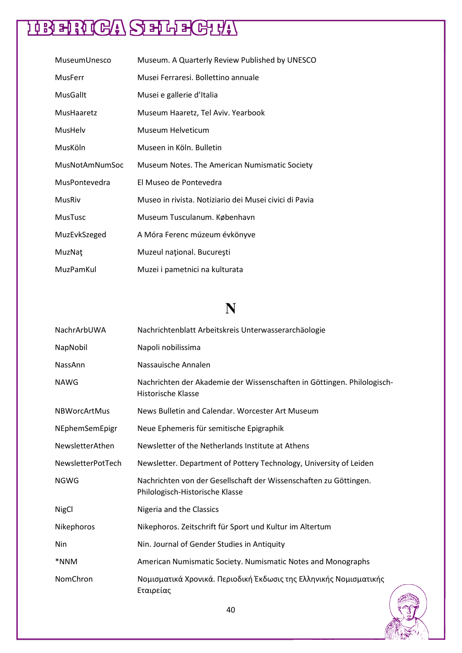| MuseumUnesco          | Museum. A Quarterly Review Published by UNESCO         |
|-----------------------|--------------------------------------------------------|
| <b>MusFerr</b>        | Musei Ferraresi. Bollettino annuale                    |
| MusGallt              | Musei e gallerie d'Italia                              |
| MusHaaretz            | Museum Haaretz, Tel Aviv. Yearbook                     |
| MusHelv               | Museum Helveticum                                      |
| MusKöln               | Museen in Köln, Bulletin                               |
| <b>MusNotAmNumSoc</b> | Museum Notes. The American Numismatic Society          |
| MusPontevedra         | El Museo de Pontevedra                                 |
| <b>MusRiv</b>         | Museo in rivista. Notiziario dei Musei civici di Pavia |
| <b>MusTusc</b>        | Museum Tusculanum. København                           |
| MuzEvkSzeged          | A Móra Ferenc múzeum évkönyve                          |
| MuzNat                | Muzeul național. București                             |
| MuzPamKul             | Muzei i pametnici na kulturata                         |

#### **N**

| NachrArbUWA         | Nachrichtenblatt Arbeitskreis Unterwasserarchäologie                                                 |
|---------------------|------------------------------------------------------------------------------------------------------|
| NapNobil            | Napoli nobilissima                                                                                   |
| NassAnn             | Nassauische Annalen                                                                                  |
| <b>NAWG</b>         | Nachrichten der Akademie der Wissenschaften in Göttingen. Philologisch-<br><b>Historische Klasse</b> |
| <b>NBWorcArtMus</b> | News Bulletin and Calendar. Worcester Art Museum                                                     |
| NEphemSemEpigr      | Neue Ephemeris für semitische Epigraphik                                                             |
| NewsletterAthen     | Newsletter of the Netherlands Institute at Athens                                                    |
| NewsletterPotTech   | Newsletter. Department of Pottery Technology, University of Leiden                                   |
| <b>NGWG</b>         | Nachrichten von der Gesellschaft der Wissenschaften zu Göttingen.<br>Philologisch-Historische Klasse |
| <b>NigCl</b>        | Nigeria and the Classics                                                                             |
| Nikephoros          | Nikephoros. Zeitschrift für Sport und Kultur im Altertum                                             |
| Nin                 | Nin. Journal of Gender Studies in Antiquity                                                          |
| *NNM                | American Numismatic Society. Numismatic Notes and Monographs                                         |
| NomChron            | Νομισματικά Χρονικά. Περιοδική Έκδωσις της Ελληνικής Νομισματικής<br>Εταιρείας                       |

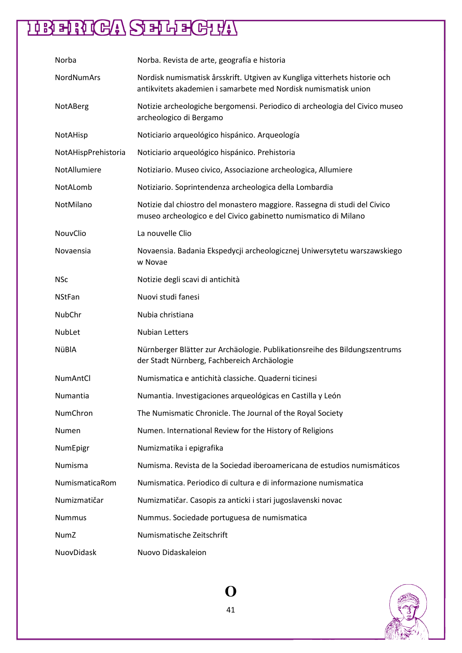| Norba               | Norba. Revista de arte, geografía e historia                                                                                                  |
|---------------------|-----------------------------------------------------------------------------------------------------------------------------------------------|
| NordNumArs          | Nordisk numismatisk årsskrift. Utgiven av Kungliga vitterhets historie och<br>antikvitets akademien i samarbete med Nordisk numismatisk union |
| NotABerg            | Notizie archeologiche bergomensi. Periodico di archeologia del Civico museo<br>archeologico di Bergamo                                        |
| NotAHisp            | Noticiario arqueológico hispánico. Arqueología                                                                                                |
| NotAHispPrehistoria | Noticiario arqueológico hispánico. Prehistoria                                                                                                |
| NotAllumiere        | Notiziario. Museo civico, Associazione archeologica, Allumiere                                                                                |
| NotALomb            | Notiziario. Soprintendenza archeologica della Lombardia                                                                                       |
| NotMilano           | Notizie dal chiostro del monastero maggiore. Rassegna di studi del Civico<br>museo archeologico e del Civico gabinetto numismatico di Milano  |
| NouvClio            | La nouvelle Clio                                                                                                                              |
| Novaensia           | Novaensia. Badania Ekspedycji archeologicznej Uniwersytetu warszawskiego<br>w Novae                                                           |
| <b>NSc</b>          | Notizie degli scavi di antichità                                                                                                              |
| <b>NStFan</b>       | Nuovi studi fanesi                                                                                                                            |
| NubChr              | Nubia christiana                                                                                                                              |
| NubLet              | <b>Nubian Letters</b>                                                                                                                         |
| NüBIA               | Nürnberger Blätter zur Archäologie. Publikationsreihe des Bildungszentrums<br>der Stadt Nürnberg, Fachbereich Archäologie                     |
| <b>NumAntCl</b>     | Numismatica e antichità classiche. Quaderni ticinesi                                                                                          |
| <b>Numantia</b>     | Numantia. Investigaciones arqueológicas en Castilla y León                                                                                    |
| NumChron            | The Numismatic Chronicle. The Journal of the Royal Society                                                                                    |
| Numen               | Numen. International Review for the History of Religions                                                                                      |
| NumEpigr            | Numizmatika i epigrafika                                                                                                                      |
| Numisma             | Numisma. Revista de la Sociedad iberoamericana de estudios numismáticos                                                                       |
| NumismaticaRom      | Numismatica. Periodico di cultura e di informazione numismatica                                                                               |
| Numizmatičar        | Numizmatičar. Casopis za anticki i stari jugoslavenski novac                                                                                  |
| <b>Nummus</b>       | Nummus. Sociedade portuguesa de numismatica                                                                                                   |
| <b>NumZ</b>         | Numismatische Zeitschrift                                                                                                                     |
| NuovDidask          | Nuovo Didaskaleion                                                                                                                            |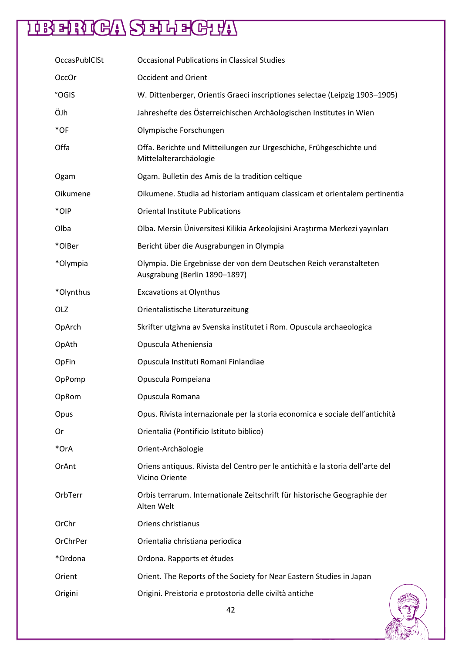| <b>OccasPublClSt</b> | <b>Occasional Publications in Classical Studies</b>                                                 |
|----------------------|-----------------------------------------------------------------------------------------------------|
| OccOr                | <b>Occident and Orient</b>                                                                          |
| °OGIS                | W. Dittenberger, Orientis Graeci inscriptiones selectae (Leipzig 1903-1905)                         |
| ÖJh                  | Jahreshefte des Österreichischen Archäologischen Institutes in Wien                                 |
| $*$ OF               | Olympische Forschungen                                                                              |
| Offa                 | Offa. Berichte und Mitteilungen zur Urgeschiche, Frühgeschichte und<br>Mittelalterarchäologie       |
| Ogam                 | Ogam. Bulletin des Amis de la tradition celtique                                                    |
| Oikumene             | Oikumene. Studia ad historiam antiquam classicam et orientalem pertinentia                          |
| *OIP                 | <b>Oriental Institute Publications</b>                                                              |
| Olba                 | Olba. Mersin Üniversitesi Kilikia Arkeolojisini Araştırma Merkezi yayınları                         |
| *OlBer               | Bericht über die Ausgrabungen in Olympia                                                            |
| *Olympia             | Olympia. Die Ergebnisse der von dem Deutschen Reich veranstalteten<br>Ausgrabung (Berlin 1890-1897) |
| *Olynthus            | <b>Excavations at Olynthus</b>                                                                      |
| OLZ                  | Orientalistische Literaturzeitung                                                                   |
| OpArch               | Skrifter utgivna av Svenska institutet i Rom. Opuscula archaeologica                                |
| OpAth                | Opuscula Atheniensia                                                                                |
| OpFin                | Opuscula Instituti Romani Finlandiae                                                                |
| OpPomp               | Opuscula Pompeiana                                                                                  |
| OpRom                | Opuscula Romana                                                                                     |
| Opus                 | Opus. Rivista internazionale per la storia economica e sociale dell'antichità                       |
| Or                   | Orientalia (Pontificio Istituto biblico)                                                            |
| *OrA                 | Orient-Archäologie                                                                                  |
| OrAnt                | Oriens antiquus. Rivista del Centro per le antichità e la storia dell'arte del<br>Vicino Oriente    |
| OrbTerr              | Orbis terrarum. Internationale Zeitschrift für historische Geographie der<br>Alten Welt             |
| OrChr                | Oriens christianus                                                                                  |
| OrChrPer             | Orientalia christiana periodica                                                                     |
| *Ordona              | Ordona. Rapports et études                                                                          |
| Orient               | Orient. The Reports of the Society for Near Eastern Studies in Japan                                |
| Origini              | Origini. Preistoria e protostoria delle civiltà antiche                                             |

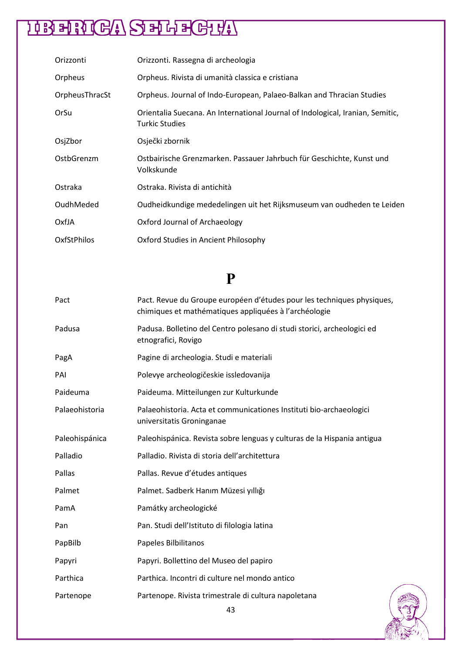| Orizzonti      | Orizzonti. Rassegna di archeologia                                                                      |
|----------------|---------------------------------------------------------------------------------------------------------|
| Orpheus        | Orpheus. Rivista di umanità classica e cristiana                                                        |
| OrpheusThracSt | Orpheus. Journal of Indo-European, Palaeo-Balkan and Thracian Studies                                   |
| OrSu           | Orientalia Suecana. An International Journal of Indological, Iranian, Semitic,<br><b>Turkic Studies</b> |
| OsjZbor        | Osječki zbornik                                                                                         |
| OstbGrenzm     | Ostbairische Grenzmarken. Passauer Jahrbuch für Geschichte, Kunst und<br>Volkskunde                     |
| Ostraka        | Ostraka. Rivista di antichità                                                                           |
| OudhMeded      | Oudheidkundige mededelingen uit het Rijksmuseum van oudheden te Leiden                                  |
| OxfJA          | Oxford Journal of Archaeology                                                                           |
| OxfStPhilos    | Oxford Studies in Ancient Philosophy                                                                    |

#### **P**

| Pact           | Pact. Revue du Groupe européen d'études pour les techniques physiques,<br>chimiques et mathématiques appliquées à l'archéologie |
|----------------|---------------------------------------------------------------------------------------------------------------------------------|
| Padusa         | Padusa. Bolletino del Centro polesano di studi storici, archeologici ed<br>etnografici, Rovigo                                  |
| PagA           | Pagine di archeologia. Studi e materiali                                                                                        |
| PAI            | Polevye archeologičeskie issledovanija                                                                                          |
| Paideuma       | Paideuma. Mitteilungen zur Kulturkunde                                                                                          |
| Palaeohistoria | Palaeohistoria. Acta et communicationes Instituti bio-archaeologici<br>universitatis Groninganae                                |
| Paleohispánica | Paleohispánica. Revista sobre lenguas y culturas de la Hispania antigua                                                         |
| Palladio       | Palladio. Rivista di storia dell'architettura                                                                                   |
| Pallas         | Pallas. Revue d'études antiques                                                                                                 |
| Palmet         | Palmet. Sadberk Hanım Müzesi yıllığı                                                                                            |
| PamA           | Památky archeologické                                                                                                           |
| Pan            | Pan. Studi dell'Istituto di filologia latina                                                                                    |
| PapBilb        | Papeles Bilbilitanos                                                                                                            |
| Papyri         | Papyri. Bollettino del Museo del papiro                                                                                         |
| Parthica       | Parthica. Incontri di culture nel mondo antico                                                                                  |
| Partenope      | Partenope. Rivista trimestrale di cultura napoletana<br>$\sqrt{2}$                                                              |

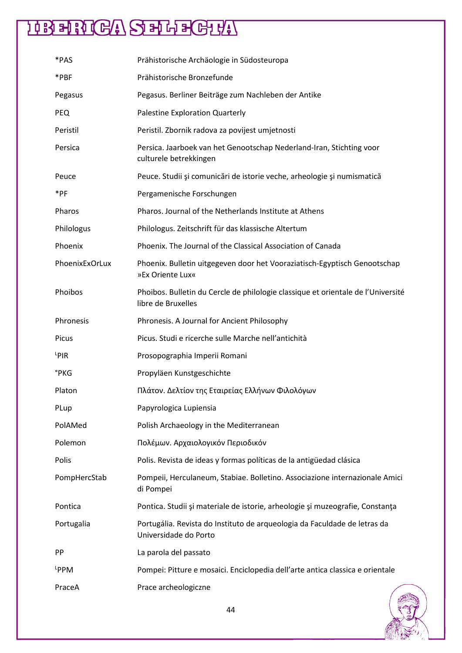| *PAS             | Prähistorische Archäologie in Südosteuropa                                                             |
|------------------|--------------------------------------------------------------------------------------------------------|
| *PBF             | Prähistorische Bronzefunde                                                                             |
| Pegasus          | Pegasus. Berliner Beiträge zum Nachleben der Antike                                                    |
| <b>PEQ</b>       | <b>Palestine Exploration Quarterly</b>                                                                 |
| Peristil         | Peristil. Zbornik radova za povijest umjetnosti                                                        |
| Persica          | Persica. Jaarboek van het Genootschap Nederland-Iran, Stichting voor<br>culturele betrekkingen         |
| Peuce            | Peuce. Studii și comunicări de istorie veche, arheologie și numismatică                                |
| *PF              | Pergamenische Forschungen                                                                              |
| Pharos           | Pharos, Journal of the Netherlands Institute at Athens                                                 |
| Philologus       | Philologus. Zeitschrift für das klassische Altertum                                                    |
| Phoenix          | Phoenix. The Journal of the Classical Association of Canada                                            |
| PhoenixExOrLux   | Phoenix. Bulletin uitgegeven door het Vooraziatisch-Egyptisch Genootschap<br>»Ex Oriente Lux«          |
| Phoibos          | Phoibos. Bulletin du Cercle de philologie classique et orientale de l'Université<br>libre de Bruxelles |
| Phronesis        | Phronesis. A Journal for Ancient Philosophy                                                            |
| Picus            | Picus. Studi e ricerche sulle Marche nell'antichità                                                    |
| $L$ PIR          | Prosopographia Imperii Romani                                                                          |
| °PKG             | Propyläen Kunstgeschichte                                                                              |
| Platon           | Πλάτον. Δελτίον της Εταιρείας Ελλήνων Φιλολόγων                                                        |
| PLup             | Papyrologica Lupiensia                                                                                 |
| PolAMed          | Polish Archaeology in the Mediterranean                                                                |
| Polemon          | Πολέμων. Αρχαιολογικόν Περιοδικόν                                                                      |
| Polis            | Polis. Revista de ideas y formas políticas de la antigüedad clásica                                    |
| PompHercStab     | Pompeii, Herculaneum, Stabiae. Bolletino. Associazione internazionale Amici<br>di Pompei               |
| Pontica          | Pontica. Studii și materiale de istorie, arheologie și muzeografie, Constanța                          |
| Portugalia       | Portugália. Revista do Instituto de arqueologia da Faculdade de letras da<br>Universidade do Porto     |
| PP               | La parola del passato                                                                                  |
| L <sub>PPM</sub> | Pompei: Pitture e mosaici. Enciclopedia dell'arte antica classica e orientale                          |
| PraceA           | Prace archeologiczne                                                                                   |

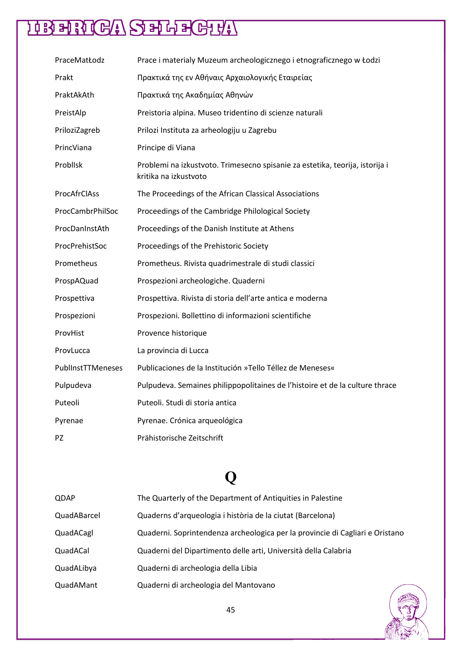| PraceMatŁodz      | Prace i materialy Muzeum archeologicznego i etnograficznego w Łodzi                                   |
|-------------------|-------------------------------------------------------------------------------------------------------|
| Prakt             | Πρακτικά της εν Αθήναις Αρχαιολογικής Εταιρείας                                                       |
| PraktAkAth        | Πρακτικά της Ακαδημίας Αθηνών                                                                         |
| PreistAlp         | Preistoria alpina. Museo tridentino di scienze naturali                                               |
| PriloziZagreb     | Prilozi Instituta za arheologiju u Zagrebu                                                            |
| PrincViana        | Principe di Viana                                                                                     |
| Problisk          | Problemi na izkustvoto. Trimesecno spisanie za estetika, teorija, istorija i<br>kritika na izkustvoto |
| ProcAfrClAss      | The Proceedings of the African Classical Associations                                                 |
| ProcCambrPhilSoc  | Proceedings of the Cambridge Philological Society                                                     |
| ProcDanInstAth    | Proceedings of the Danish Institute at Athens                                                         |
| ProcPrehistSoc    | Proceedings of the Prehistoric Society                                                                |
| Prometheus        | Prometheus. Rivista quadrimestrale di studi classici                                                  |
| ProspAQuad        | Prospezioni archeologiche. Quaderni                                                                   |
| Prospettiva       | Prospettiva. Rivista di storia dell'arte antica e moderna                                             |
| Prospezioni       | Prospezioni. Bollettino di informazioni scientifiche                                                  |
| ProvHist          | Provence historique                                                                                   |
| ProvLucca         | La provincia di Lucca                                                                                 |
| PublInstTTMeneses | Publicaciones de la Institución »Tello Téllez de Meneses«                                             |
| Pulpudeva         | Pulpudeva. Semaines philippopolitaines de l'histoire et de la culture thrace                          |
| Puteoli           | Puteoli. Studi di storia antica                                                                       |
| Pyrenae           | Pyrenae. Crónica arqueológica                                                                         |
| PZ.               | Prähistorische Zeitschrift                                                                            |

### **Q**

| QDAP        | The Quarterly of the Department of Antiquities in Palestine                   |
|-------------|-------------------------------------------------------------------------------|
| QuadABarcel | Quaderns d'arqueologia i història de la ciutat (Barcelona)                    |
| QuadACagl   | Quaderni. Soprintendenza archeologica per la provincie di Cagliari e Oristano |
| QuadACal    | Quaderni del Dipartimento delle arti, Università della Calabria               |
| QuadALibya  | Quaderni di archeologia della Libia                                           |
| QuadAMant   | Quaderni di archeologia del Mantovano                                         |

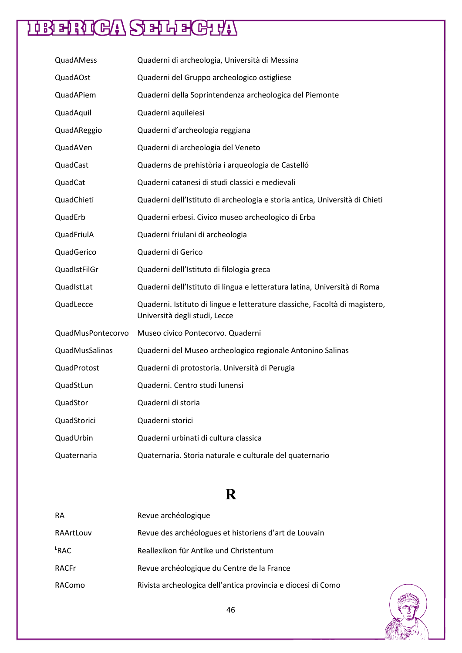| QuadAMess         | Quaderni di archeologia, Università di Messina                                                               |
|-------------------|--------------------------------------------------------------------------------------------------------------|
| QuadAOst          | Quaderni del Gruppo archeologico ostigliese                                                                  |
| QuadAPiem         | Quaderni della Soprintendenza archeologica del Piemonte                                                      |
| QuadAquil         | Quaderni aquileiesi                                                                                          |
| QuadAReggio       | Quaderni d'archeologia reggiana                                                                              |
| QuadAVen          | Quaderni di archeologia del Veneto                                                                           |
| QuadCast          | Quaderns de prehistòria i arqueologia de Castelló                                                            |
| QuadCat           | Quaderni catanesi di studi classici e medievali                                                              |
| QuadChieti        | Quaderni dell'Istituto di archeologia e storia antica, Università di Chieti                                  |
| QuadErb           | Quaderni erbesi. Civico museo archeologico di Erba                                                           |
| QuadFriulA        | Quaderni friulani di archeologia                                                                             |
| QuadGerico        | Quaderni di Gerico                                                                                           |
| QuadIstFilGr      | Quaderni dell'Istituto di filologia greca                                                                    |
| QuadIstLat        | Quaderni dell'Istituto di lingua e letteratura latina, Università di Roma                                    |
| QuadLecce         | Quaderni. Istituto di lingue e letterature classiche, Facoltà di magistero,<br>Università degli studi, Lecce |
| QuadMusPontecorvo | Museo civico Pontecorvo. Quaderni                                                                            |
| QuadMusSalinas    | Quaderni del Museo archeologico regionale Antonino Salinas                                                   |
| QuadProtost       | Quaderni di protostoria. Università di Perugia                                                               |
| QuadStLun         | Quaderni. Centro studi lunensi                                                                               |
| QuadStor          | Quaderni di storia                                                                                           |
| QuadStorici       | Quaderni storici                                                                                             |
| QuadUrbin         | Quaderni urbinati di cultura classica                                                                        |
| Quaternaria       | Quaternaria. Storia naturale e culturale del quaternario                                                     |

### **R**

| <b>RA</b>        | Revue archéologique                                          |
|------------------|--------------------------------------------------------------|
| RAArtLouv        | Revue des archéologues et historiens d'art de Louvain        |
| <sup>L</sup> RAC | Reallexikon für Antike und Christentum                       |
| <b>RACFr</b>     | Revue archéologique du Centre de la France                   |
| RAComo           | Rivista archeologica dell'antica provincia e diocesi di Como |

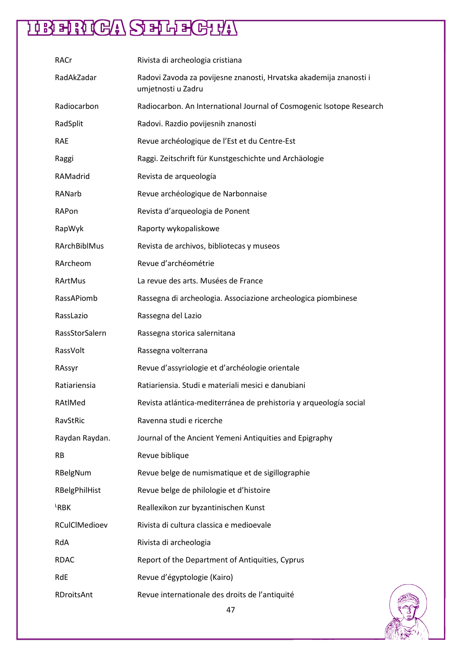| RACr                | Rivista di archeologia cristiana                                                         |
|---------------------|------------------------------------------------------------------------------------------|
| RadAkZadar          | Radovi Zavoda za povijesne znanosti, Hrvatska akademija znanosti i<br>umjetnosti u Zadru |
| Radiocarbon         | Radiocarbon. An International Journal of Cosmogenic Isotope Research                     |
| RadSplit            | Radovi. Razdio povijesnih znanosti                                                       |
| <b>RAE</b>          | Revue archéologique de l'Est et du Centre-Est                                            |
| Raggi               | Raggi. Zeitschrift für Kunstgeschichte und Archäologie                                   |
| RAMadrid            | Revista de arqueología                                                                   |
| RANarb              | Revue archéologique de Narbonnaise                                                       |
| RAPon               | Revista d'arqueologia de Ponent                                                          |
| RapWyk              | Raporty wykopaliskowe                                                                    |
| <b>RArchBiblMus</b> | Revista de archivos, bibliotecas y museos                                                |
| RArcheom            | Revue d'archéométrie                                                                     |
| RArtMus             | La revue des arts. Musées de France                                                      |
| RassAPiomb          | Rassegna di archeologia. Associazione archeologica piombinese                            |
| RassLazio           | Rassegna del Lazio                                                                       |
| RassStorSalern      | Rassegna storica salernitana                                                             |
| RassVolt            | Rassegna volterrana                                                                      |
| RAssyr              | Revue d'assyriologie et d'archéologie orientale                                          |
| Ratiariensia        | Ratiariensia. Studi e materiali mesici e danubiani                                       |
| RAtlMed             | Revista atlántica-mediterránea de prehistoria y arqueología social                       |
| RavStRic            | Ravenna studi e ricerche                                                                 |
| Raydan Raydan.      | Journal of the Ancient Yemeni Antiquities and Epigraphy                                  |
| <b>RB</b>           | Revue biblique                                                                           |
| RBelgNum            | Revue belge de numismatique et de sigillographie                                         |
| RBelgPhilHist       | Revue belge de philologie et d'histoire                                                  |
| $k$ RBK             | Reallexikon zur byzantinischen Kunst                                                     |
| RCulClMedioev       | Rivista di cultura classica e medioevale                                                 |
| RdA                 | Rivista di archeologia                                                                   |
| <b>RDAC</b>         | Report of the Department of Antiquities, Cyprus                                          |
| RdE                 | Revue d'égyptologie (Kairo)                                                              |
| RDroitsAnt          | Revue internationale des droits de l'antiquité                                           |

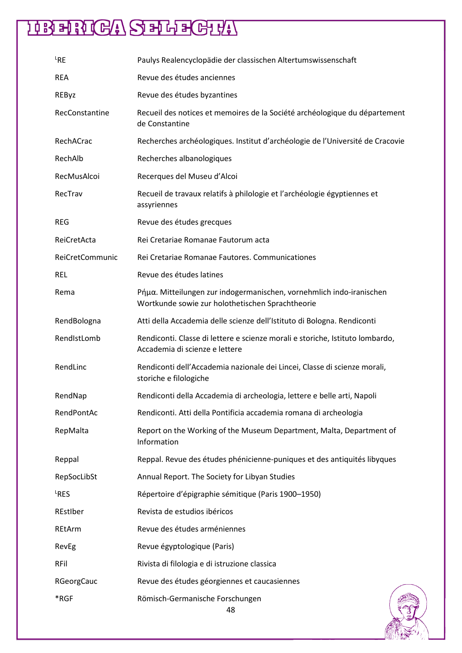| <sup>L</sup> RE | Paulys Realencyclopädie der classischen Altertumswissenschaft                                                            |
|-----------------|--------------------------------------------------------------------------------------------------------------------------|
| <b>REA</b>      | Revue des études anciennes                                                                                               |
| REByz           | Revue des études byzantines                                                                                              |
| RecConstantine  | Recueil des notices et memoires de la Société archéologique du département<br>de Constantine                             |
| RechACrac       | Recherches archéologiques. Institut d'archéologie de l'Université de Cracovie                                            |
| RechAlb         | Recherches albanologiques                                                                                                |
| RecMusAlcoi     | Recerques del Museu d'Alcoi                                                                                              |
| RecTrav         | Recueil de travaux relatifs à philologie et l'archéologie égyptiennes et<br>assyriennes                                  |
| <b>REG</b>      | Revue des études grecques                                                                                                |
| ReiCretActa     | Rei Cretariae Romanae Fautorum acta                                                                                      |
| ReiCretCommunic | Rei Cretariae Romanae Fautores. Communicationes                                                                          |
| <b>REL</b>      | Revue des études latines                                                                                                 |
| Rema            | Pήμα. Mitteilungen zur indogermanischen, vornehmlich indo-iranischen<br>Wortkunde sowie zur holothetischen Sprachtheorie |
| RendBologna     | Atti della Accademia delle scienze dell'Istituto di Bologna. Rendiconti                                                  |
| RendIstLomb     | Rendiconti. Classe di lettere e scienze morali e storiche, Istituto lombardo,<br>Accademia di scienze e lettere          |
| RendLinc        | Rendiconti dell'Accademia nazionale dei Lincei, Classe di scienze morali,<br>storiche e filologiche                      |
| RendNap         | Rendiconti della Accademia di archeologia, lettere e belle arti, Napoli                                                  |
| RendPontAc      | Rendiconti. Atti della Pontificia accademia romana di archeologia                                                        |
| RepMalta        | Report on the Working of the Museum Department, Malta, Department of<br>Information                                      |
| Reppal          | Reppal. Revue des études phénicienne-puniques et des antiquités libyques                                                 |
| RepSocLibSt     | Annual Report. The Society for Libyan Studies                                                                            |
| LRES            | Répertoire d'épigraphie sémitique (Paris 1900-1950)                                                                      |
| REstIber        | Revista de estudios ibéricos                                                                                             |
| REtArm          | Revue des études arméniennes                                                                                             |
| RevEg           | Revue égyptologique (Paris)                                                                                              |
| <b>RFil</b>     | Rivista di filologia e di istruzione classica                                                                            |
| RGeorgCauc      | Revue des études géorgiennes et caucasiennes                                                                             |
| *RGF            | Römisch-Germanische Forschungen                                                                                          |

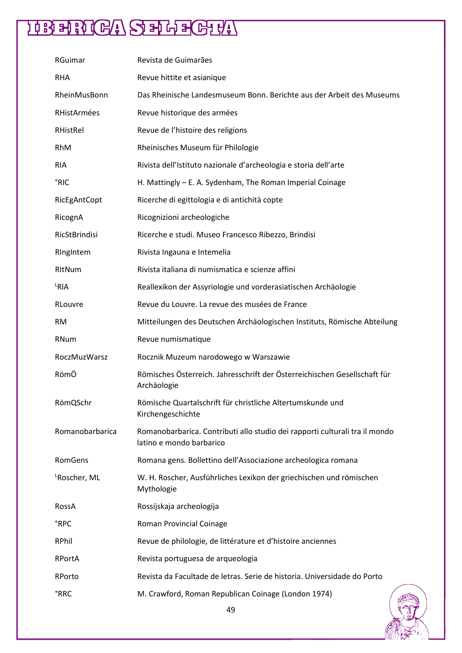| RGuimar                  | Revista de Guimarães                                                                                    |
|--------------------------|---------------------------------------------------------------------------------------------------------|
| <b>RHA</b>               | Revue hittite et asianique                                                                              |
| RheinMusBonn             | Das Rheinische Landesmuseum Bonn. Berichte aus der Arbeit des Museums                                   |
| RHistArmées              | Revue historique des armées                                                                             |
| RHistRel                 | Revue de l'histoire des religions                                                                       |
| RhM                      | Rheinisches Museum für Philologie                                                                       |
| <b>RIA</b>               | Rivista dell'Istituto nazionale d'archeologia e storia dell'arte                                        |
| °RIC                     | H. Mattingly - E. A. Sydenham, The Roman Imperial Coinage                                               |
| RicEgAntCopt             | Ricerche di egittologia e di antichità copte                                                            |
| RicognA                  | Ricognizioni archeologiche                                                                              |
| RicStBrindisi            | Ricerche e studi. Museo Francesco Ribezzo, Brindisi                                                     |
| Ringintem                | Rivista Ingauna e Intemelia                                                                             |
| RItNum                   | Rivista italiana di numismatica e scienze affini                                                        |
| └RIA                     | Reallexikon der Assyriologie und vorderasiatischen Archäologie                                          |
| RLouvre                  | Revue du Louvre. La revue des musées de France                                                          |
| RM                       | Mitteilungen des Deutschen Archäologischen Instituts, Römische Abteilung                                |
|                          |                                                                                                         |
| RNum                     | Revue numismatique                                                                                      |
| <b>RoczMuzWarsz</b>      | Rocznik Muzeum narodowego w Warszawie                                                                   |
| RömÖ                     | Römisches Österreich. Jahresschrift der Österreichischen Gesellschaft für<br>Archäologie                |
| RömQSchr                 | Römische Quartalschrift für christliche Altertumskunde und<br>Kirchengeschichte                         |
| Romanobarbarica          | Romanobarbarica. Contributi allo studio dei rapporti culturali tra il mondo<br>latino e mondo barbarico |
| RomGens                  | Romana gens. Bollettino dell'Associazione archeologica romana                                           |
| <sup>L</sup> Roscher, ML | W. H. Roscher, Ausführliches Lexikon der griechischen und römischen<br>Mythologie                       |
| RossA                    | Rossijskaja archeologija                                                                                |
| °RPC                     | Roman Provincial Coinage                                                                                |
| <b>RPhil</b>             | Revue de philologie, de littérature et d'histoire anciennes                                             |
| <b>RPortA</b>            | Revista portuguesa de arqueologia                                                                       |
| RPorto                   | Revista da Facultade de letras. Serie de historia. Universidade do Porto                                |

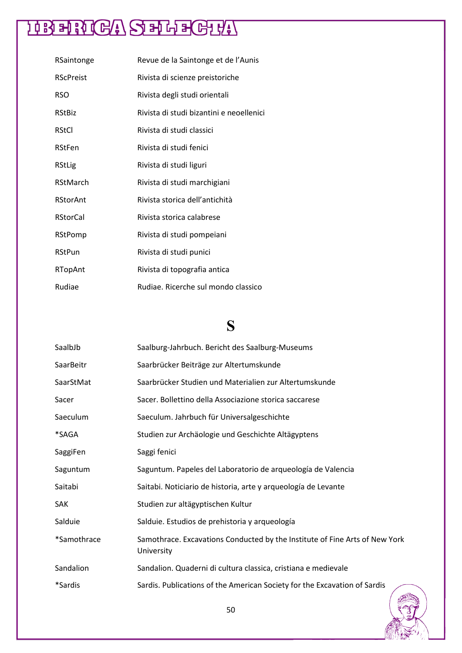| RSaintonge       | Revue de la Saintonge et de l'Aunis      |
|------------------|------------------------------------------|
| <b>RScPreist</b> | Rivista di scienze preistoriche          |
| <b>RSO</b>       | Rivista degli studi orientali            |
| <b>RStBiz</b>    | Rivista di studi bizantini e neoellenici |
| <b>RStCl</b>     | Rivista di studi classici                |
| RStFen           | Rivista di studi fenici                  |
| RStLig           | Rivista di studi liguri                  |
| RStMarch         | Rivista di studi marchigiani             |
| <b>RStorAnt</b>  | Rivista storica dell'antichità           |
| <b>RStorCal</b>  | Rivista storica calabrese                |
| RStPomp          | Rivista di studi pompeiani               |
| <b>RStPun</b>    | Rivista di studi punici                  |
| RTopAnt          | Rivista di topografia antica             |
| Rudiae           | Rudiae. Ricerche sul mondo classico      |

### **S**

| SaalbJb     | Saalburg-Jahrbuch. Bericht des Saalburg-Museums                                           |
|-------------|-------------------------------------------------------------------------------------------|
| SaarBeitr   | Saarbrücker Beiträge zur Altertumskunde                                                   |
| SaarStMat   | Saarbrücker Studien und Materialien zur Altertumskunde                                    |
| Sacer       | Sacer. Bollettino della Associazione storica saccarese                                    |
| Saeculum    | Saeculum. Jahrbuch für Universalgeschichte                                                |
| *SAGA       | Studien zur Archäologie und Geschichte Altägyptens                                        |
| SaggiFen    | Saggi fenici                                                                              |
| Saguntum    | Saguntum. Papeles del Laboratorio de arqueología de Valencia                              |
| Saitabi     | Saitabi. Noticiario de historia, arte y arqueología de Levante                            |
| <b>SAK</b>  | Studien zur altägyptischen Kultur                                                         |
| Salduie     | Salduie. Estudios de prehistoria y arqueología                                            |
| *Samothrace | Samothrace. Excavations Conducted by the Institute of Fine Arts of New York<br>University |
| Sandalion   | Sandalion. Quaderni di cultura classica, cristiana e medievale                            |
| *Sardis     | Sardis. Publications of the American Society for the Excavation of Sardis                 |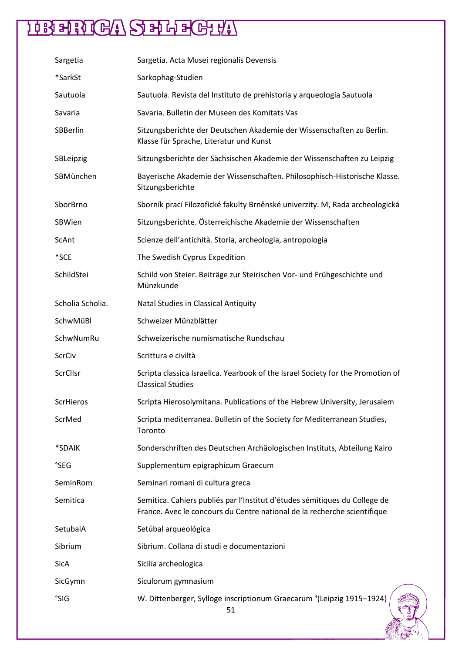| Sargetia         | Sargetia. Acta Musei regionalis Devensis                                                                                                               |
|------------------|--------------------------------------------------------------------------------------------------------------------------------------------------------|
| *SarkSt          | Sarkophag-Studien                                                                                                                                      |
| Sautuola         | Sautuola. Revista del Instituto de prehistoria y arqueologia Sautuola                                                                                  |
| Savaria          | Savaria. Bulletin der Museen des Komitats Vas                                                                                                          |
| SBBerlin         | Sitzungsberichte der Deutschen Akademie der Wissenschaften zu Berlin.<br>Klasse für Sprache, Literatur und Kunst                                       |
| SBLeipzig        | Sitzungsberichte der Sächsischen Akademie der Wissenschaften zu Leipzig                                                                                |
| SBMünchen        | Bayerische Akademie der Wissenschaften. Philosophisch-Historische Klasse.<br>Sitzungsberichte                                                          |
| SborBrno         | Sborník prací Filozofické fakulty Brněnské univerzity. M, Rada archeologická                                                                           |
| SBWien           | Sitzungsberichte. Österreichische Akademie der Wissenschaften                                                                                          |
| ScAnt            | Scienze dell'antichità. Storia, archeologia, antropologia                                                                                              |
| *SCE             | The Swedish Cyprus Expedition                                                                                                                          |
| SchildStei       | Schild von Steier. Beiträge zur Steirischen Vor- und Frühgeschichte und<br>Münzkunde                                                                   |
| Scholia Scholia. | Natal Studies in Classical Antiquity                                                                                                                   |
| SchwMüBl         | Schweizer Münzblätter                                                                                                                                  |
| SchwNumRu        | Schweizerische numismatische Rundschau                                                                                                                 |
| <b>ScrCiv</b>    | Scrittura e civiltà                                                                                                                                    |
| <b>ScrClIsr</b>  | Scripta classica Israelica. Yearbook of the Israel Society for the Promotion of<br><b>Classical Studies</b>                                            |
| <b>ScrHieros</b> | Scripta Hierosolymitana. Publications of the Hebrew University, Jerusalem                                                                              |
| ScrMed           | Scripta mediterranea. Bulletin of the Society for Mediterranean Studies,<br>Toronto                                                                    |
| *SDAIK           | Sonderschriften des Deutschen Archäologischen Instituts, Abteilung Kairo                                                                               |
| °SEG             | Supplementum epigraphicum Graecum                                                                                                                      |
| SeminRom         | Seminari romani di cultura greca                                                                                                                       |
| Semitica         | Semitica. Cahiers publiés par l'Institut d'études sémitiques du College de<br>France. Avec le concours du Centre national de la recherche scientifique |
| SetubalA         | Setúbal arqueológica                                                                                                                                   |
| Sibrium          | Sibrium. Collana di studi e documentazioni                                                                                                             |
| SicA             | Sicilia archeologica                                                                                                                                   |
| SicGymn          | Siculorum gymnasium                                                                                                                                    |
| °SIG             | W. Dittenberger, Sylloge inscriptionum Graecarum <sup>3</sup> (Leipzig 1915-1924)<br>51                                                                |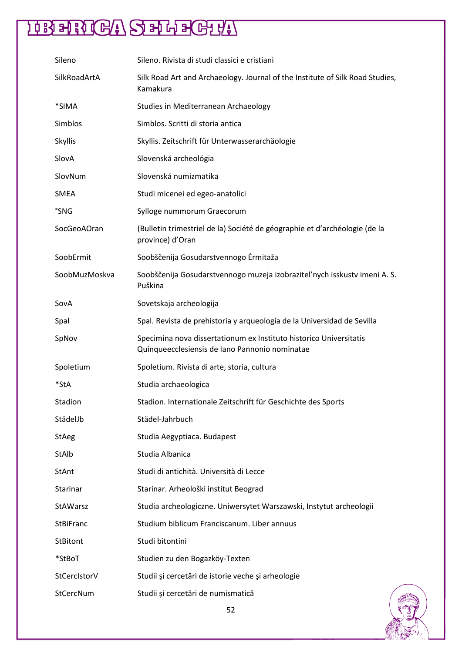| Sileno           | Sileno. Rivista di studi classici e cristiani                                                                        |  |
|------------------|----------------------------------------------------------------------------------------------------------------------|--|
| SilkRoadArtA     | Silk Road Art and Archaeology. Journal of the Institute of Silk Road Studies,<br>Kamakura                            |  |
| *SIMA            | Studies in Mediterranean Archaeology                                                                                 |  |
| Simblos          | Simblos. Scritti di storia antica                                                                                    |  |
| Skyllis          | Skyllis. Zeitschrift für Unterwasserarchäologie                                                                      |  |
| SlovA            | Slovenská archeológia                                                                                                |  |
| SlovNum          | Slovenská numizmatika                                                                                                |  |
| SMEA             | Studi micenei ed egeo-anatolici                                                                                      |  |
| °SNG             | Sylloge nummorum Graecorum                                                                                           |  |
| SocGeoAOran      | (Bulletin trimestriel de la) Société de géographie et d'archéologie (de la<br>province) d'Oran                       |  |
| SoobErmit        | Soobščenija Gosudarstvennogo Ermitaža                                                                                |  |
| SoobMuzMoskva    | Soobščenija Gosudarstvennogo muzeja izobraziteľnych isskustvimeni A.S.<br>Puškina                                    |  |
| SovA             | Sovetskaja archeologija                                                                                              |  |
| Spal             | Spal. Revista de prehistoria y arqueología de la Universidad de Sevilla                                              |  |
| SpNov            | Specimina nova dissertationum ex Instituto historico Universitatis<br>Quinqueecclesiensis de Iano Pannonio nominatae |  |
| Spoletium        | Spoletium. Rivista di arte, storia, cultura                                                                          |  |
| *StA             | Studia archaeologica                                                                                                 |  |
| Stadion          | Stadion. Internationale Zeitschrift für Geschichte des Sports                                                        |  |
| StädelJb         | Städel-Jahrbuch                                                                                                      |  |
| <b>StAeg</b>     | Studia Aegyptiaca. Budapest                                                                                          |  |
| StAlb            | Studia Albanica                                                                                                      |  |
| StAnt            | Studi di antichità. Università di Lecce                                                                              |  |
| Starinar         | Starinar. Arheološki institut Beograd                                                                                |  |
| StAWarsz         | Studia archeologiczne. Uniwersytet Warszawski, Instytut archeologii                                                  |  |
| <b>StBiFranc</b> | Studium biblicum Franciscanum. Liber annuus                                                                          |  |
| <b>StBitont</b>  | Studi bitontini                                                                                                      |  |
| *StBoT           | Studien zu den Bogazköy-Texten                                                                                       |  |
| StCerclstorV     | Studii și cercetări de istorie veche și arheologie                                                                   |  |
| StCercNum        | Studii și cercetări de numismatică                                                                                   |  |

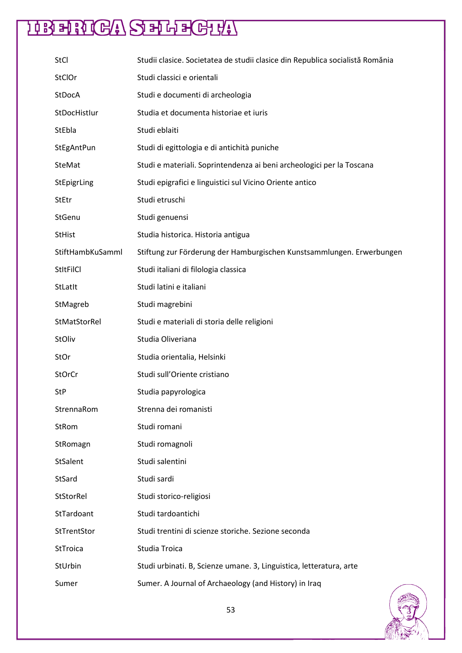| <b>StCl</b>      | Studii clasice. Societatea de studii clasice din Republica socialistă Romănia |
|------------------|-------------------------------------------------------------------------------|
| StClOr           | Studi classici e orientali                                                    |
| StDocA           | Studi e documenti di archeologia                                              |
| StDocHistlur     | Studia et documenta historiae et iuris                                        |
| StEbla           | Studi eblaiti                                                                 |
| StEgAntPun       | Studi di egittologia e di antichità puniche                                   |
| <b>SteMat</b>    | Studi e materiali. Soprintendenza ai beni archeologici per la Toscana         |
| StEpigrLing      | Studi epigrafici e linguistici sul Vicino Oriente antico                      |
| <b>StEtr</b>     | Studi etruschi                                                                |
| StGenu           | Studi genuensi                                                                |
| <b>StHist</b>    | Studia historica. Historia antigua                                            |
| StiftHambKuSamml | Stiftung zur Förderung der Hamburgischen Kunstsammlungen. Erwerbungen         |
| <b>StitFilCl</b> | Studi italiani di filologia classica                                          |
| StLatIt          | Studi latini e italiani                                                       |
| StMagreb         | Studi magrebini                                                               |
| StMatStorRel     | Studi e materiali di storia delle religioni                                   |
| StOliv           | Studia Oliveriana                                                             |
| StOr             | Studia orientalia, Helsinki                                                   |
| <b>StOrCr</b>    | Studi sull'Oriente cristiano                                                  |
| <b>StP</b>       | Studia papyrologica                                                           |
| StrennaRom       | Strenna dei romanisti                                                         |
| StRom            | Studi romani                                                                  |
| StRomagn         | Studi romagnoli                                                               |
| StSalent         | Studi salentini                                                               |
| StSard           | Studi sardi                                                                   |
| StStorRel        | Studi storico-religiosi                                                       |
| StTardoant       | Studi tardoantichi                                                            |
| StTrentStor      | Studi trentini di scienze storiche. Sezione seconda                           |
| StTroica         | Studia Troica                                                                 |
| StUrbin          | Studi urbinati. B, Scienze umane. 3, Linguistica, letteratura, arte           |
| Sumer            | Sumer. A Journal of Archaeology (and History) in Iraq                         |
|                  |                                                                               |

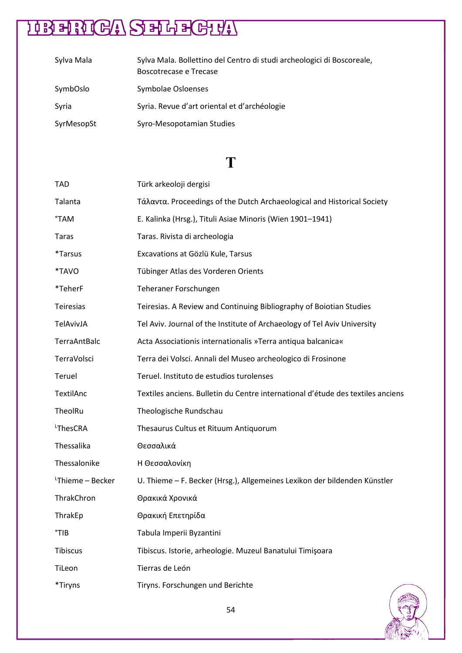| Sylva Mala | Sylva Mala. Bollettino del Centro di studi archeologici di Boscoreale,<br>Boscotrecase e Trecase |
|------------|--------------------------------------------------------------------------------------------------|
| SymbOslo   | Symbolae Osloenses                                                                               |
| Syria      | Syria. Revue d'art oriental et d'archéologie                                                     |
| SyrMesopSt | Syro-Mesopotamian Studies                                                                        |

### **T**

| TAD                          | Türk arkeoloji dergisi                                                          |
|------------------------------|---------------------------------------------------------------------------------|
| Talanta                      | Τάλαντα. Proceedings of the Dutch Archaeological and Historical Society         |
| <b>TAM</b>                   | E. Kalinka (Hrsg.), Tituli Asiae Minoris (Wien 1901-1941)                       |
| <b>Taras</b>                 | Taras. Rivista di archeologia                                                   |
| <i><b>*Tarsus</b></i>        | Excavations at Gözlü Kule, Tarsus                                               |
| *TAVO                        | Tübinger Atlas des Vorderen Orients                                             |
| *TeherF                      | Teheraner Forschungen                                                           |
| Teiresias                    | Teiresias. A Review and Continuing Bibliography of Boiotian Studies             |
| TelAvivJA                    | Tel Aviv. Journal of the Institute of Archaeology of Tel Aviv University        |
| TerraAntBalc                 | Acta Associationis internationalis »Terra antiqua balcanica«                    |
| TerraVolsci                  | Terra dei Volsci. Annali del Museo archeologico di Frosinone                    |
| Teruel                       | Teruel. Instituto de estudios turolenses                                        |
| TextilAnc                    | Textiles anciens. Bulletin du Centre international d'étude des textiles anciens |
| TheolRu                      | Theologische Rundschau                                                          |
| <sup>L</sup> ThesCRA         | Thesaurus Cultus et Rituum Antiquorum                                           |
| Thessalika                   | Θεσσαλικά                                                                       |
| Thessalonike                 | Η Θεσσαλονίκη                                                                   |
| <sup>L</sup> Thieme - Becker | U. Thieme - F. Becker (Hrsg.), Allgemeines Lexikon der bildenden Künstler       |
| ThrakChron                   | Θρακικά Χρονικά                                                                 |
| ThrakEp                      | Θρακική Επετηρίδα                                                               |
| $^{\circ}$ TIB               | Tabula Imperii Byzantini                                                        |
| <b>Tibiscus</b>              | Tibiscus. Istorie, arheologie. Muzeul Banatului Timișoara                       |
| TiLeon                       | Tierras de León                                                                 |
| *Tiryns                      | Tiryns. Forschungen und Berichte                                                |

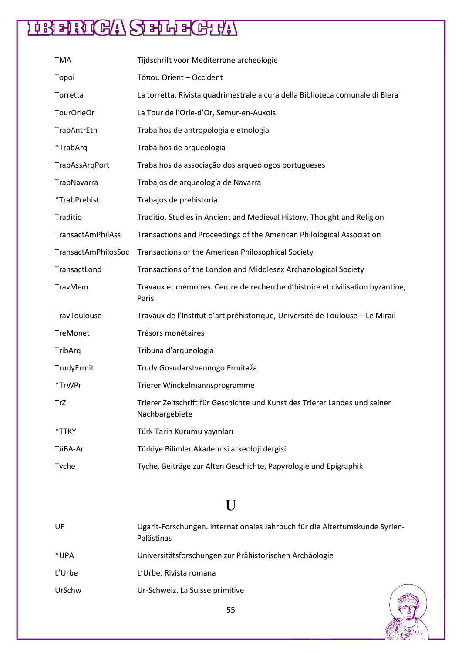| <b>TMA</b>               | Tijdschrift voor Mediterrane archeologie                                                     |
|--------------------------|----------------------------------------------------------------------------------------------|
| Topoi                    | Τόποι. Orient - Occident                                                                     |
| Torretta                 | La torretta. Rivista quadrimestrale a cura della Biblioteca comunale di Blera                |
| TourOrleOr               | La Tour de l'Orle-d'Or, Semur-en-Auxois                                                      |
| TrabAntrEtn              | Trabalhos de antropologia e etnologia                                                        |
| *TrabArq                 | Trabalhos de arqueologia                                                                     |
| TrabAssArgPort           | Trabalhos da associação dos arqueólogos portugueses                                          |
| TrabNavarra              | Trabajos de arqueología de Navarra                                                           |
| *TrabPrehist             | Trabajos de prehistoria                                                                      |
| Traditio                 | Traditio. Studies in Ancient and Medieval History, Thought and Religion                      |
| <b>TransactAmPhilAss</b> | Transactions and Proceedings of the American Philological Association                        |
| TransactAmPhilosSoc      | Transactions of the American Philosophical Society                                           |
| TransactLond             | Transactions of the London and Middlesex Archaeological Society                              |
| TravMem                  | Travaux et mémoires. Centre de recherche d'histoire et civilisation byzantine,<br>Paris      |
| TravToulouse             | Travaux de l'Institut d'art préhistorique, Université de Toulouse - Le Mirail                |
| TreMonet                 | Trésors monétaires                                                                           |
| TribArq                  | Tribuna d'arqueologia                                                                        |
| TrudyErmit               | Trudy Gosudarstvennogo Ermitaža                                                              |
| *TrWPr                   | Trierer Winckelmannsprogramme                                                                |
| TrZ                      | Trierer Zeitschrift für Geschichte und Kunst des Trierer Landes und seiner<br>Nachbargebiete |
| *TTKY                    | Türk Tarih Kurumu yayınları                                                                  |
| TüBA-Ar                  | Türkiye Bilimler Akademisi arkeoloji dergisi                                                 |
| Tyche                    | Tyche. Beiträge zur Alten Geschichte, Papyrologie und Epigraphik                             |

### **U**

| UF     | Ugarit-Forschungen. Internationales Jahrbuch für die Altertumskunde Syrien-<br>Palästinas |
|--------|-------------------------------------------------------------------------------------------|
| *UPA   | Universitätsforschungen zur Prähistorischen Archäologie                                   |
| L'Urbe | L'Urbe. Rivista romana                                                                    |
| UrSchw | Ur-Schweiz. La Suisse primitive                                                           |

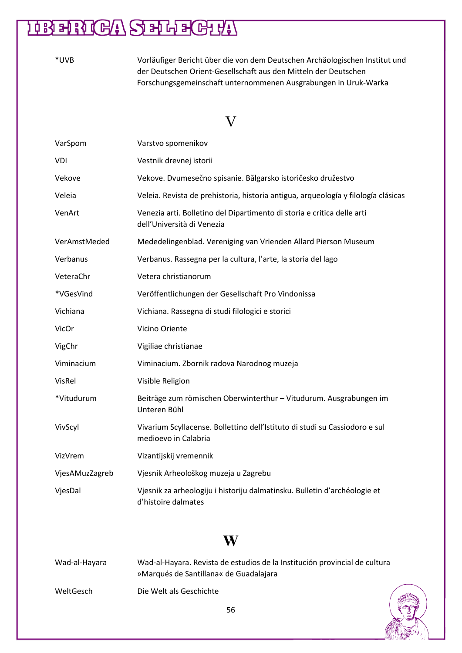| *UVB | Vorläufiger Bericht über die von dem Deutschen Archäologischen Institut und |
|------|-----------------------------------------------------------------------------|
|      | der Deutschen Orient-Gesellschaft aus den Mitteln der Deutschen             |
|      | Forschungsgemeinschaft unternommenen Ausgrabungen in Uruk-Warka             |

#### V

| VarSpom        | Varstvo spomenikov                                                                                    |
|----------------|-------------------------------------------------------------------------------------------------------|
| VDI            | Vestnik drevnej istorii                                                                               |
| Vekove         | Vekove. Dvumesečno spisanie. Bălgarsko istoričesko družestvo                                          |
| Veleia         | Veleia. Revista de prehistoria, historia antigua, arqueología y filología clásicas                    |
| VenArt         | Venezia arti. Bolletino del Dipartimento di storia e critica delle arti<br>dell'Università di Venezia |
| VerAmstMeded   | Mededelingenblad. Vereniging van Vrienden Allard Pierson Museum                                       |
| Verbanus       | Verbanus. Rassegna per la cultura, l'arte, la storia del lago                                         |
| VeteraChr      | Vetera christianorum                                                                                  |
| *VGesVind      | Veröffentlichungen der Gesellschaft Pro Vindonissa                                                    |
| Vichiana       | Vichiana. Rassegna di studi filologici e storici                                                      |
| VicOr          | Vicino Oriente                                                                                        |
| VigChr         | Vigiliae christianae                                                                                  |
| Viminacium     | Viminacium. Zbornik radova Narodnog muzeja                                                            |
| VisRel         | Visible Religion                                                                                      |
| *Vitudurum     | Beiträge zum römischen Oberwinterthur - Vitudurum. Ausgrabungen im<br>Unteren Bühl                    |
| VivScyl        | Vivarium Scyllacense. Bollettino dell'Istituto di studi su Cassiodoro e sul<br>medioevo in Calabria   |
| VizVrem        | Vizantijskij vremennik                                                                                |
| VjesAMuzZagreb | Vjesnik Arheološkog muzeja u Zagrebu                                                                  |
| VjesDal        | Vjesnik za arheologiju i historiju dalmatinsku. Bulletin d'archéologie et<br>d'histoire dalmates      |

#### **W**

| Wad-al-Hayara | Wad-al-Hayara. Revista de estudios de la Institución provincial de cultura<br>»Marqués de Santillana« de Guadalajara |  |
|---------------|----------------------------------------------------------------------------------------------------------------------|--|
| WeltGesch     | Die Welt als Geschichte                                                                                              |  |

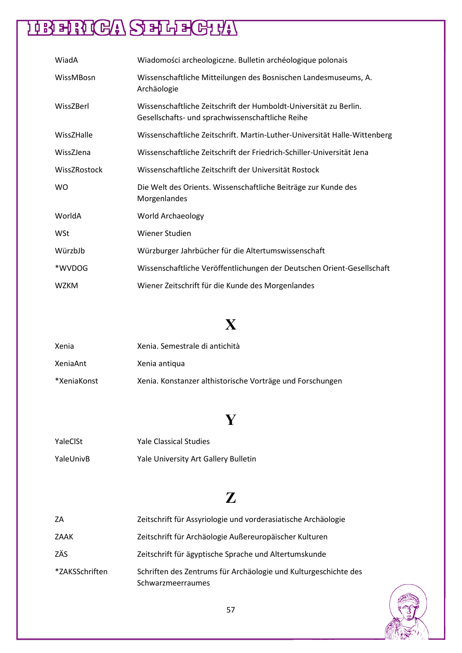### **HEANGASHLEGHA**

| WiadA        | Wiadomości archeologiczne. Bulletin archéologique polonais                                                            |
|--------------|-----------------------------------------------------------------------------------------------------------------------|
| WissMBosn    | Wissenschaftliche Mitteilungen des Bosnischen Landesmuseums, A.<br>Archäologie                                        |
| WissZBerl    | Wissenschaftliche Zeitschrift der Humboldt-Universität zu Berlin.<br>Gesellschafts- und sprachwissenschaftliche Reihe |
| WissZHalle   | Wissenschaftliche Zeitschrift. Martin-Luther-Universität Halle-Wittenberg                                             |
| WissZJena    | Wissenschaftliche Zeitschrift der Friedrich-Schiller-Universität Jena                                                 |
| WissZRostock | Wissenschaftliche Zeitschrift der Universität Rostock                                                                 |
| <b>WO</b>    | Die Welt des Orients. Wissenschaftliche Beiträge zur Kunde des<br>Morgenlandes                                        |
| WorldA       | World Archaeology                                                                                                     |
| WSt          | Wiener Studien                                                                                                        |
| WürzbJb      | Würzburger Jahrbücher für die Altertumswissenschaft                                                                   |
| *WVDOG       | Wissenschaftliche Veröffentlichungen der Deutschen Orient-Gesellschaft                                                |
| <b>WZKM</b>  | Wiener Zeitschrift für die Kunde des Morgenlandes                                                                     |

### **X**

| Xenia       | Xenia. Semestrale di antichità                            |
|-------------|-----------------------------------------------------------|
| XeniaAnt    | Xenia antigua                                             |
| *XeniaKonst | Xenia. Konstanzer althistorische Vorträge und Forschungen |

### **Y**

| YaleClSt  | <b>Yale Classical Studies</b>        |
|-----------|--------------------------------------|
| YaleUnivB | Yale University Art Gallery Bulletin |

#### **Z**

| -ZA            | Zeitschrift für Assyriologie und vorderasiatische Archäologie                        |
|----------------|--------------------------------------------------------------------------------------|
| ZAAK           | Zeitschrift für Archäologie Außereuropäischer Kulturen                               |
| ZÄS            | Zeitschrift für ägyptische Sprache und Altertumskunde                                |
| *ZAKSSchriften | Schriften des Zentrums für Archäologie und Kulturgeschichte des<br>Schwarzmeerraumes |